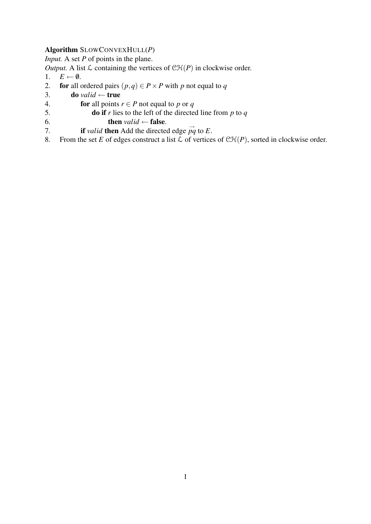# Algorithm SLOWCONVEXHULL(*P*)

*Input.* A set *P* of points in the plane.

*Output.* A list  $\mathcal L$  containing the vertices of  $\mathcal{CH}(P)$  in clockwise order.

- 1.  $E \leftarrow \emptyset$ .
- 2. **for** all ordered pairs  $(p,q) \in P \times P$  with *p* not equal to *q*
- 3. do *valid*  $\leftarrow$  true
- 4. **for** all points  $r \in P$  not equal to p or q
- 5. do if *r* lies to the left of the directed line from *p* to *q*
- 6. **then**  $valid \leftarrow false$ .
- 7. **if** *valid* then Add the directed edge  $\vec{pq}$  to *E*.
- 8. From the set *E* of edges construct a list  $\mathcal L$  of vertices of  $\mathcal{CH}(P)$ , sorted in clockwise order.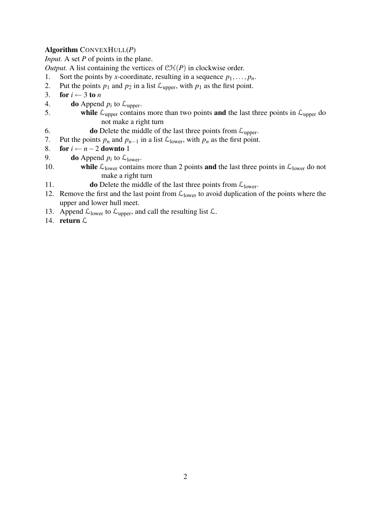### Algorithm CONVEXHULL(*P*)

*Input.* A set *P* of points in the plane.

*Output.* A list containing the vertices of  $\mathcal{CH}(P)$  in clockwise order.

- 1. Sort the points by *x*-coordinate, resulting in a sequence  $p_1, \ldots, p_n$ .
- 2. Put the points  $p_1$  and  $p_2$  in a list  $\mathcal{L}_{\text{upper}}$ , with  $p_1$  as the first point.
- 3. for  $i \leftarrow 3$  to *n*
- 4. **do** Append  $p_i$  to  $\mathcal{L}_{\text{upper}}$ .
- 5. while  $\mathcal{L}_{\text{upper}}$  contains more than two points and the last three points in  $\mathcal{L}_{\text{upper}}$  do not make a right turn
- 6. **do** Delete the middle of the last three points from  $\mathcal{L}_{\text{upper}}$ .
- 7. Put the points  $p_n$  and  $p_{n-1}$  in a list  $\mathcal{L}_{lower}$ , with  $p_n$  as the first point.
- 8. **for**  $i \leftarrow n-2$  **downto** 1
- 9. **do** Append  $p_i$  to  $\mathcal{L}_{lower}$ .
- 10. while  $\mathcal{L}_{\text{lower}}$  contains more than 2 points and the last three points in  $\mathcal{L}_{\text{lower}}$  do not make a right turn
- 11. **do** Delete the middle of the last three points from  $\mathcal{L}_{lower}$ .
- 12. Remove the first and the last point from  $\mathcal{L}_{lower}$  to avoid duplication of the points where the upper and lower hull meet.
- 13. Append  $\mathcal{L}_{\text{lower}}$  to  $\mathcal{L}_{\text{upper}}$ , and call the resulting list  $\mathcal{L}$ .
- 14. return L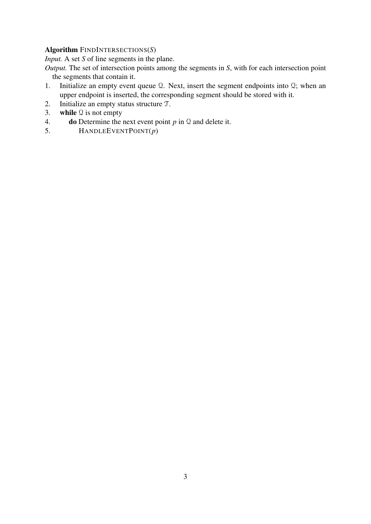#### Algorithm FINDINTERSECTIONS(*S*)

*Input.* A set *S* of line segments in the plane.

*Output.* The set of intersection points among the segments in *S*, with for each intersection point the segments that contain it.

- 1. Initialize an empty event queue Q. Next, insert the segment endpoints into Q; when an upper endpoint is inserted, the corresponding segment should be stored with it.
- 2. Initialize an empty status structure T.
- 3. while  $\mathcal Q$  is not empty
- 4. **do** Determine the next event point  $p$  in  $\mathcal Q$  and delete it.
- 5. HANDLEEVENTPOINT(*p*)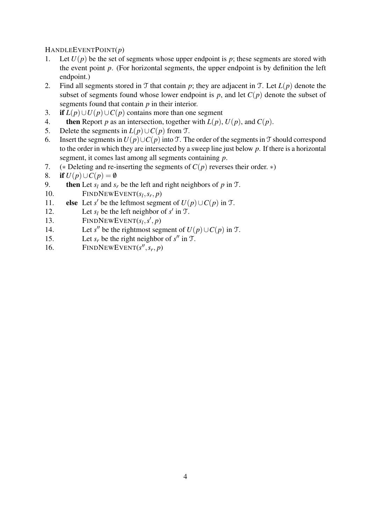# HANDLEEVENTPOINT(*p*)

- 1. Let  $U(p)$  be the set of segments whose upper endpoint is p; these segments are stored with the event point *p*. (For horizontal segments, the upper endpoint is by definition the left endpoint.)
- 2. Find all segments stored in T that contain *p*; they are adjacent in T. Let *L*(*p*) denote the subset of segments found whose lower endpoint is  $p$ , and let  $C(p)$  denote the subset of segments found that contain *p* in their interior.
- 3. if  $L(p) \cup U(p) \cup C(p)$  contains more than one segment
- 4. **then** Report *p* as an intersection, together with  $L(p)$ ,  $U(p)$ , and  $C(p)$ .
- 5. Delete the segments in  $L(p) \cup C(p)$  from  $T$ .
- 6. Insert the segments in  $U(p) \cup C(p)$  into T. The order of the segments in T should correspond to the order in which they are intersected by a sweep line just below *p*. If there is a horizontal segment, it comes last among all segments containing *p*.
- 7. (∗ Deleting and re-inserting the segments of *C*(*p*) reverses their order. ∗)
- 8. if  $U(p) \cup C(p) = \emptyset$
- 9. **then** Let  $s_i$  and  $s_r$  be the left and right neighbors of  $p$  in  $T$ .
- 10. FINDNEWEVENT( $s_l$ ,  $s_r$ , *p*)
- 11. **else** Let *s'* be the leftmost segment of  $U(p) \cup C(p)$  in T.
- 12. Let  $s_l$  be the left neighbor of  $s'$  in T.
- 13. FINDNEWEVENT $(s_l, s', p)$
- 14. Let *s*<sup>*''*</sup> be the rightmost segment of  $U(p) \cup C(p)$  in T.
- 15. Let  $s_r$  be the right neighbor of  $s''$  in T.
- 16. FINDNEWEVENT( $s''$ ,  $s_r$ , *p*)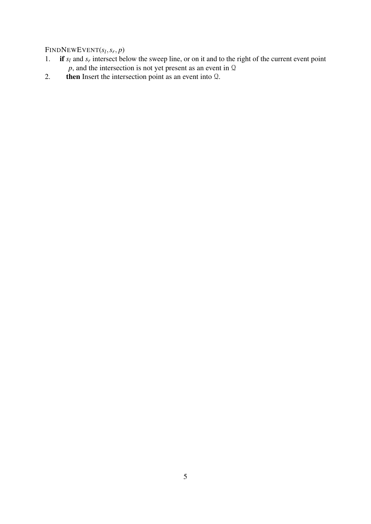# FINDNEWEVENT(*s<sup>l</sup>* ,*sr* , *p*)

- 1. if  $s_l$  and  $s_r$  intersect below the sweep line, or on it and to the right of the current event point  $p$ , and the intersection is not yet present as an event in  $Q$
- 2. then Insert the intersection point as an event into Q.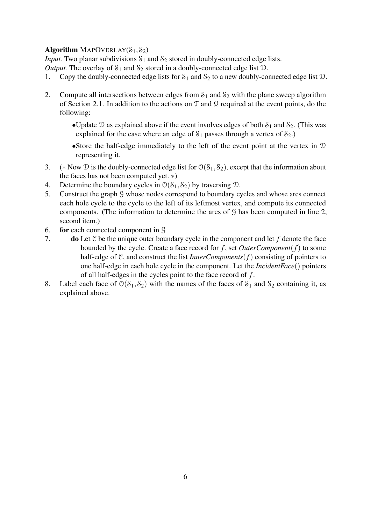#### Algorithm MAPOVERLAY $(\mathcal{S}_1, \mathcal{S}_2)$

*Input.* Two planar subdivisions  $S_1$  and  $S_2$  stored in doubly-connected edge lists.

*Output.* The overlay of  $S_1$  and  $S_2$  stored in a doubly-connected edge list  $D$ .

- 1. Copy the doubly-connected edge lists for  $S_1$  and  $S_2$  to a new doubly-connected edge list  $D$ .
- 2. Compute all intersections between edges from  $S_1$  and  $S_2$  with the plane sweep algorithm of Section 2.1. In addition to the actions on  $\mathcal T$  and  $\mathcal Q$  required at the event points, do the following:
	- •Update  $\mathcal D$  as explained above if the event involves edges of both  $\mathcal S_1$  and  $\mathcal S_2$ . (This was explained for the case where an edge of  $S_1$  passes through a vertex of  $S_2$ .)
	- •Store the half-edge immediately to the left of the event point at the vertex in D representing it.
- 3. (\* Now  $\mathcal D$  is the doubly-connected edge list for  $\mathcal O(\mathcal S_1,\mathcal S_2)$ , except that the information about the faces has not been computed yet. ∗)
- 4. Determine the boundary cycles in  $\mathcal{O}(\mathcal{S}_1,\mathcal{S}_2)$  by traversing  $\mathcal{D}$ .
- 5. Construct the graph G whose nodes correspond to boundary cycles and whose arcs connect each hole cycle to the cycle to the left of its leftmost vertex, and compute its connected components. (The information to determine the arcs of G has been computed in line 2, second item.)
- 6. for each connected component in G
- 7. do Let C be the unique outer boundary cycle in the component and let *f* denote the face bounded by the cycle. Create a face record for  $f$ , set *OuterComponent* $(f)$  to some half-edge of C, and construct the list *InnerComponents*(*f*) consisting of pointers to one half-edge in each hole cycle in the component. Let the *IncidentFace*() pointers of all half-edges in the cycles point to the face record of *f* .
- 8. Label each face of  $\mathcal{O}(\mathcal{S}_1,\mathcal{S}_2)$  with the names of the faces of  $\mathcal{S}_1$  and  $\mathcal{S}_2$  containing it, as explained above.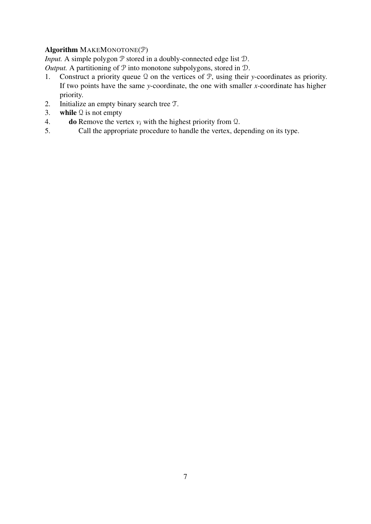### Algorithm MAKEMONOTONE(P)

*Input.* A simple polygon  $P$  stored in a doubly-connected edge list  $D$ .

*Output.* A partitioning of  $P$  into monotone subpolygons, stored in  $D$ .

- 1. Construct a priority queue Q on the vertices of P, using their *y*-coordinates as priority. If two points have the same *y*-coordinate, the one with smaller *x*-coordinate has higher priority.
- 2. Initialize an empty binary search tree T.
- 3. while  $\mathcal Q$  is not empty
- 4. **do** Remove the vertex  $v_i$  with the highest priority from  $\Omega$ .<br>5. Call the appropriate procedure to handle the vertex, dep
- Call the appropriate procedure to handle the vertex, depending on its type.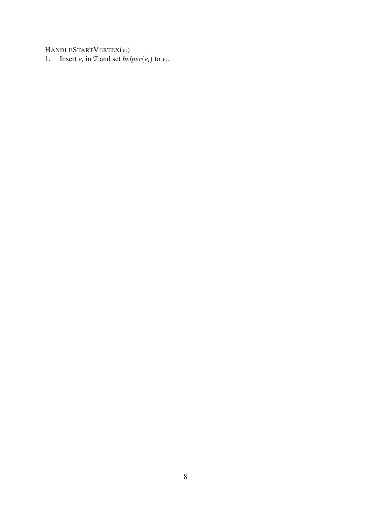HANDLESTARTVERTEX(*vi*)

1. Insert  $e_i$  in T and set *helper*( $e_i$ ) to  $v_i$ .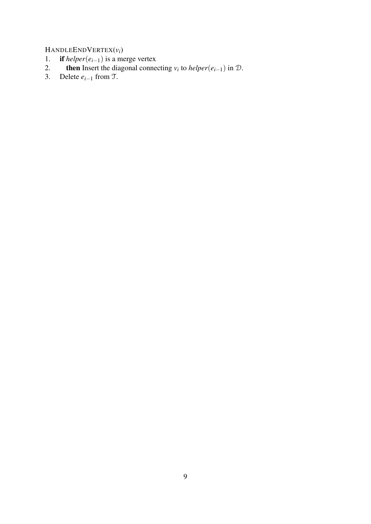HANDLEENDVERTEX( $v_i$ )<br>1. **if** helper( $e_{i-1}$ ) is a me

- 1. **if**  $h \neq e_{i-1}$  is a merge vertex
- 2. **then** Insert the diagonal connecting  $v_i$  to *helper*( $e_{i-1}$ ) in D.
- 3. Delete  $e_{i-1}$  from  $\mathfrak{T}$ .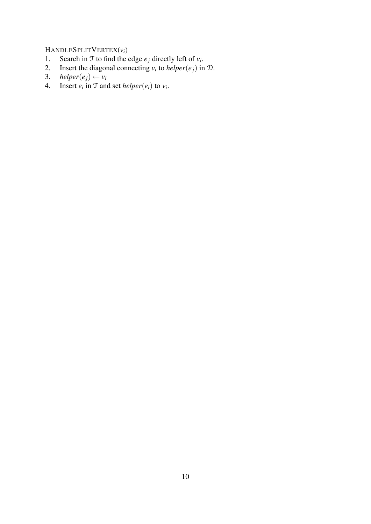# HANDLESPLITVERTEX(*vi*)

- 1. Search in T to find the edge  $e_j$  directly left of  $v_i$ .
- 2. Insert the diagonal connecting  $v_i$  to *helper*( $e_j$ ) in  $D$ .
- 3. *helper*( $e_j$ )  $\leftarrow v_i$
- 4. Insert  $e_i$  in T and set *helper*( $e_i$ ) to  $v_i$ .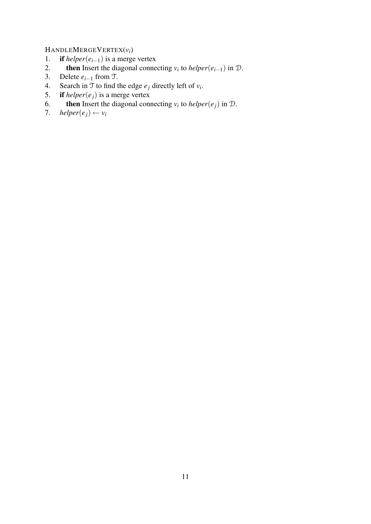# HANDLEMERGEVERTEX( $v_i$ )<br>1. **if** helper( $e_{i-1}$ ) is a merge

- 1. **if**  $helper(e_{i-1})$  is a merge vertex<br>2. **then** Insert the diagonal connection-
- 2. **then** Insert the diagonal connecting  $v_i$  to *helper*( $e_{i-1}$ ) in D.
- 3. Delete  $e_{i-1}$  from T.<br>4. Search in T to find t
- 4. Search in  $\mathcal{T}$  to find the edge  $e_j$  directly left of  $v_i$ .
- 5. if  $helper(e_j)$  is a merge vertex
- 6. **then** Insert the diagonal connecting  $v_i$  to *helper*( $e_j$ ) in D.
- 7. *helper*( $e_i$ )  $\leftarrow v_i$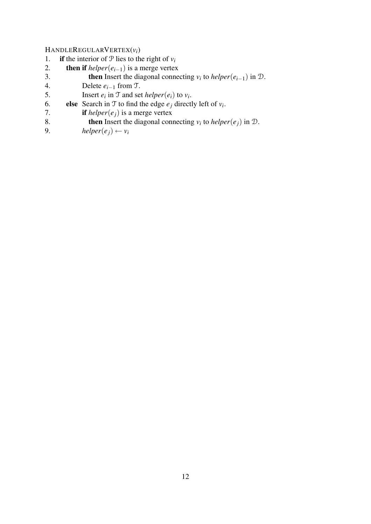HANDLEREGULARVERTEX $(v_i)$ <br>1. **if** the interior of  $\mathcal{P}$  lies to the

- 1. **if** the interior of  $\mathcal{P}$  lies to the right of  $v_i$ <br>2. **then if** helper( $e_{i-1}$ ) is a merge vertex
- 2. **then if**  $h \neq h \neq r(e_{i-1})$  is a merge vertex<br>3. **then** Insert the diagonal connection-
- 3. **then** Insert the diagonal connecting  $v_i$  to *helper*( $e_{i-1}$ ) in D.
- 4. Delete  $e_{i-1}$  from T.<br>5. Insert  $e_i$  in T and set
- 5. Insert  $e_i$  in T and set *helper*( $e_i$ ) to  $v_i$ .
- 6. **else** Search in T to find the edge  $e_j$  directly left of  $v_i$ .
- 7. **if** *helper*( $e_j$ ) is a merge vertex<br>8. **then** Insert the diagonal conr
- 8. **then** Insert the diagonal connecting  $v_i$  to *helper*( $e_j$ ) in D.
- 9. *helper*( $e_i$ ) ←  $v_i$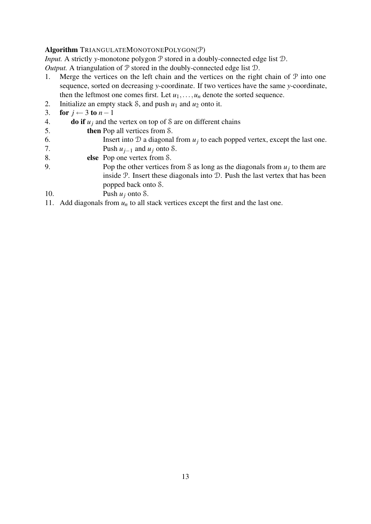#### Algorithm TRIANGULATEMONOTONEPOLYGON(P)

*Input.* A strictly *y*-monotone polygon  $P$  stored in a doubly-connected edge list  $D$ .

*Output.* A triangulation of  $P$  stored in the doubly-connected edge list  $D$ .

- 1. Merge the vertices on the left chain and the vertices on the right chain of  $P$  into one sequence, sorted on decreasing *y*-coordinate. If two vertices have the same *y*-coordinate, then the leftmost one comes first. Let  $u_1, \ldots, u_n$  denote the sorted sequence.
- 2. Initialize an empty stack *S*, and push  $u_1$  and  $u_2$  onto it.<br>3. **for**  $i \leftarrow 3$  to  $n 1$
- for  $j \leftarrow 3$  to  $n-1$
- 4. **do if**  $u_i$  and the vertex on top of S are on different chains
- 5. then Pop all vertices from S.
- 6. Insert into  $D$  a diagonal from  $u_j$  to each popped vertex, except the last one. 7. Push  $u_{i-1}$  and  $u_i$  onto S.
- 8. else Pop one vertex from S.
- 9. Pop the other vertices from S as long as the diagonals from  $u_j$  to them are inside P. Insert these diagonals into D. Push the last vertex that has been popped back onto S.
- 10. Push  $u_i$  onto S.
- 11. Add diagonals from  $u_n$  to all stack vertices except the first and the last one.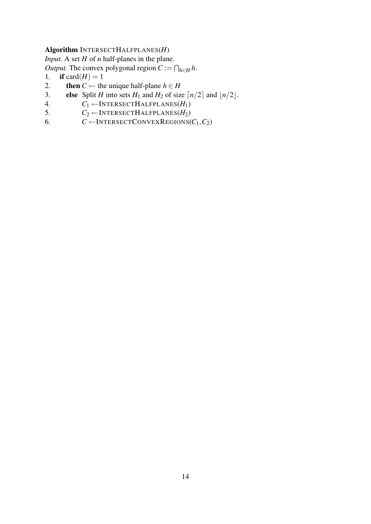#### Algorithm INTERSECTHALFPLANES(*H*)

*Input.* A set *H* of *n* half-planes in the plane.

*Output*. The convex polygonal region  $C := \bigcap_{h \in H} h$ .

- 1. if card $(H) = 1$
- 2. **then**  $C \leftarrow$  the unique half-plane  $h \in H$
- 3. **else** Split *H* into sets  $H_1$  and  $H_2$  of size  $\lceil n/2 \rceil$  and  $\lfloor n/2 \rfloor$ .
- 4.  $C_1 \leftarrow \text{INTERSECTIONALFPLANES}(H_1)$ <br>5.  $C_2 \leftarrow \text{INTERSECTIONALFPLANES}(H_2)$
- 5.  $C_2 \leftarrow \text{INTERSECTIONECHALFPLANES}(H_2)$ <br>6.  $C \leftarrow \text{INTERSECTIONEEREGIONS}$
- $C \leftarrow$ INTERSECTCONVEXREGIONS( $C_1, C_2$ )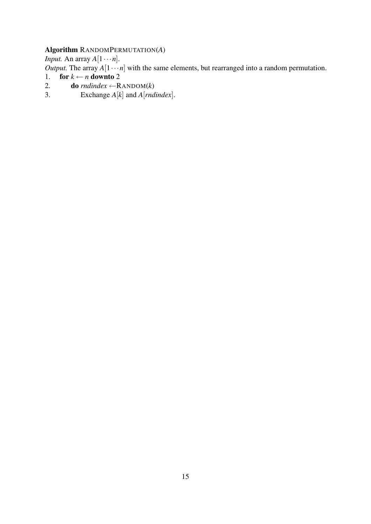# Algorithm RANDOMPERMUTATION(*A*)

*Input.* An array  $A[1 \cdots n]$ .

*Output*. The array  $A[1 \cdots n]$  with the same elements, but rearranged into a random permutation.

- 1. for  $k \leftarrow n$  downto 2
- 2. **do**  $\text{rndindex} \leftarrow \text{RANDOM}(k)$ <br>3. Exchange  $A[k]$  and  $A[\text{rndi}]$
- Exchange  $A[k]$  and  $A[{}rrdindex]$ .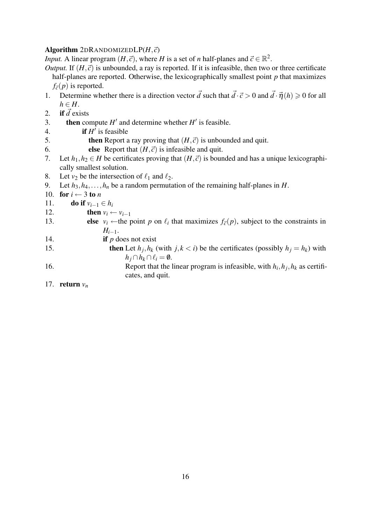#### Algorithm  $2DRANDOMIZEDLP(H, \vec{c})$

*Input.* A linear program  $(H, \vec{c})$ , where *H* is a set of *n* half-planes and  $\vec{c} \in \mathbb{R}^2$ .

- *Output.* If  $(H, \vec{c})$  is unbounded, a ray is reported. If it is infeasible, then two or three certificate half-planes are reported. Otherwise, the lexicographically smallest point *p* that maximizes  $f_{\vec{c}}(p)$  is reported.
- 1. Determine whether there is a direction vector  $\vec{d}$  such that  $\vec{d} \cdot \vec{c} > 0$  and  $\vec{d} \cdot \vec{\eta}(h) \ge 0$  for all  $h \in H$ .
- 2. if  $\vec{d}$  exists
- 3. **then** compute  $H'$  and determine whether  $H'$  is feasible.
- 4. **if**  $H'$  is feasible
- 5. **then** Report a ray proving that  $(H, \vec{c})$  is unbounded and quit.
- 6. **else** Report that  $(H, \vec{c})$  is infeasible and quit.
- 7. Let  $h_1, h_2 \in H$  be certificates proving that  $(H, \vec{c})$  is bounded and has a unique lexicographically smallest solution.
- 8. Let  $v_2$  be the intersection of  $\ell_1$  and  $\ell_2$ .
- 9. Let  $h_3, h_4, \ldots, h_n$  be a random permutation of the remaining half-planes in *H*.
- 10. for  $i \leftarrow 3$  to *n*
- 11. **do if**  $v_{i-1} \in h_i$
- 12. **then**  $v_i \leftarrow v_{i-1}$
- 13. **else**  $v_i \leftarrow$  the point *p* on  $\ell_i$  that maximizes  $f_{\vec{c}}(p)$ , subject to the constraints in  $H_{i-1}$ .
- 14. **if**  $p$  does not exist
- 15. **then** Let  $h_j, h_k$  (with  $j, k < i$ ) be the certificates (possibly  $h_j = h_k$ ) with *h*<sup>*j*</sup> ∩ *h*<sub>*k*</sub> ∩  $\ell$ <sup>*i*</sup> = 0.
- 16. Report that the linear program is infeasible, with  $h_i$ ,  $h_j$ ,  $h_k$  as certificates, and quit.
- 17. return *v<sup>n</sup>*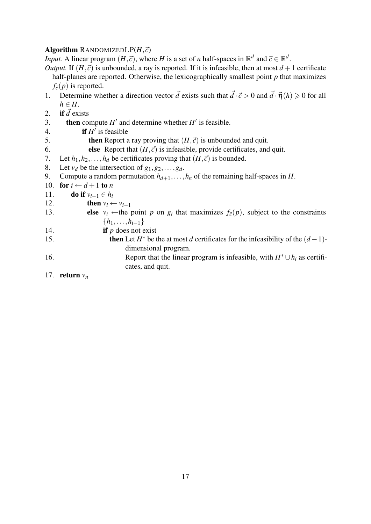#### Algorithm RANDOMIZEDL $P(H,\vec{c})$

*Input.* A linear program  $(H, \vec{c})$ , where *H* is a set of *n* half-spaces in  $\mathbb{R}^d$  and  $\vec{c} \in \mathbb{R}^d$ .

- *Output.* If  $(H, \vec{c})$  is unbounded, a ray is reported. If it is infeasible, then at most  $d+1$  certificate half-planes are reported. Otherwise, the lexicographically smallest point *p* that maximizes  $f_{\vec{c}}(p)$  is reported.
- 1. Determine whether a direction vector  $\vec{d}$  exists such that  $\vec{d} \cdot \vec{c} > 0$  and  $\vec{d} \cdot \vec{\eta}(h) \ge 0$  for all  $h \in H$ .
- 2. if  $\vec{d}$  exists
- 3. **then** compute  $H'$  and determine whether  $H'$  is feasible.
- 4. **if**  $H'$  is feasible
- 5. **then** Report a ray proving that  $(H, \vec{c})$  is unbounded and quit.
- 6. **else** Report that  $(H, \vec{c})$  is infeasible, provide certificates, and quit.
- 7. Let  $h_1, h_2, \ldots, h_d$  be certificates proving that  $(H, \vec{c})$  is bounded.<br>8. Let  $v_d$  be the intersection of  $g_1, g_2, \ldots, g_d$ .
- Let  $v_d$  be the intersection of  $g_1, g_2, \ldots, g_d$ .
- 9. Compute a random permutation  $h_{d+1}, \ldots, h_n$  of the remaining half-spaces in *H*.
- 10. for  $i \leftarrow d+1$  to *n*
- 11. **do if**  $v_{i-1} \in h_i$
- 12. **then**  $v_i \leftarrow v_{i-1}$
- 13. **else**  $v_i \leftarrow$  the point *p* on  $g_i$  that maximizes  $f_{\vec{c}}(p)$ , subject to the constraints {*h*1,...,*hi*−1}
- 14. **if** *p* does not exist
- 15. **then** Let  $H^*$  be the at most *d* certificates for the infeasibility of the  $(d-1)$ dimensional program.
- 16. Report that the linear program is infeasible, with  $H^* \cup h_i$  as certificates, and quit.
- 17. **return**  $v_n$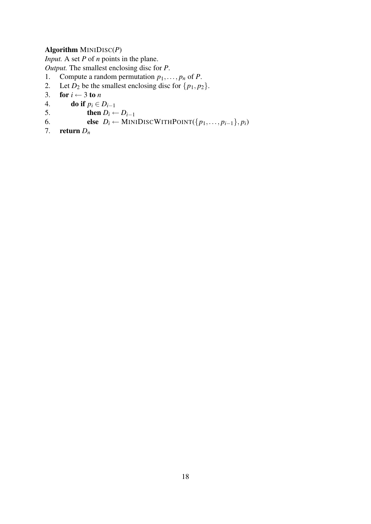# Algorithm MINIDISC(*P*)

*Input.* A set *P* of *n* points in the plane.

*Output.* The smallest enclosing disc for *P*.

- 1. Compute a random permutation  $p_1, \ldots, p_n$  of *P*.<br>2. Let  $D_2$  be the smallest enclosing disc for  $\{p_1, p_2\}$
- 2. Let  $D_2$  be the smallest enclosing disc for  $\{p_1, p_2\}$ .<br>3. **for**  $i \leftarrow 3$  to *n*
- for  $i \leftarrow 3$  to *n*
- 4. **do if**  $p_i \in D_{i-1}$ <br>5. **then**  $D_i \leftarrow$
- 5. then  $D_i \leftarrow D_{i-1}$ <br>6. else  $D_i \leftarrow MIN$
- 6. else  $D_i \leftarrow \text{MINIDISCWITHPOINT}(\{p_1,\ldots,p_{i-1}\}, p_i)$ <br>7. return  $D_n$
- return  $D_n$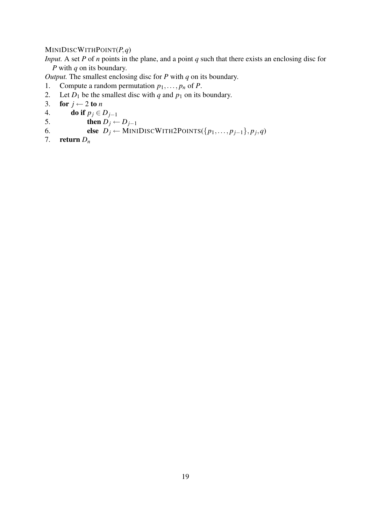#### MINIDISCWITHPOINT(*P*,*q*)

*Input.* A set *P* of *n* points in the plane, and a point *q* such that there exists an enclosing disc for *P* with *q* on its boundary.

*Output.* The smallest enclosing disc for *P* with *q* on its boundary.

- 1. Compute a random permutation  $p_1, \ldots, p_n$  of *P*.<br>2. Let  $D_1$  be the smallest disc with *q* and  $p_1$  on its
- Let  $D_1$  be the smallest disc with *q* and  $p_1$  on its boundary.

```
3. for j \leftarrow 2 to n
```
- 4. **do if**  $p_j \in D_{j-1}$ <br>5. **then**  $D_j \leftarrow$ 5. then  $D_j \leftarrow D_{j-1}$ <br>6. else  $D_j \leftarrow \text{MINI}$
- 6. **else**  $D_j \leftarrow \text{MINIDISCWITH2POINTS}({p_1, \ldots, p_{j-1}}, p_j, q)$
- 7. return  $D_n$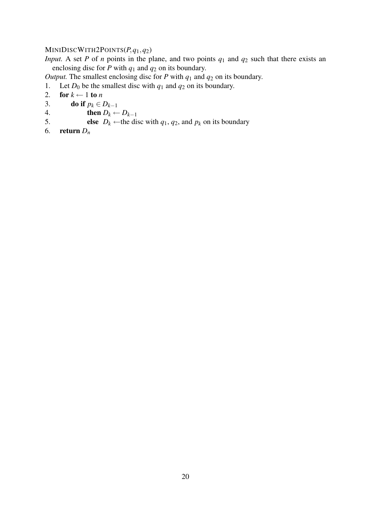# MINIDISCWITH2POINTS(*P*,*q*1,*q*2)

*Input.* A set *P* of *n* points in the plane, and two points  $q_1$  and  $q_2$  such that there exists an enclosing disc for  $\overline{P}$  with  $q_1$  and  $q_2$  on its boundary.

*Output.* The smallest enclosing disc for *P* with *q*<sup>1</sup> and *q*<sup>2</sup> on its boundary.

1. Let  $D_0$  be the smallest disc with  $q_1$  and  $q_2$  on its boundary.<br>2. **for**  $k \leftarrow 1$  to *n* 

```
for k \leftarrow 1 to n
```
- 3. **do if**  $p_k \in D_{k-1}$ <br>4. **then**  $D_k \leftarrow$
- 4. **then**  $D_k \leftarrow D_{k-1}$ <br>5. **else**  $D_k \leftarrow$  the di
- **else**  $D_k \leftarrow$  the disc with  $q_1, q_2$ , and  $p_k$  on its boundary
- 6. return *D<sup>n</sup>*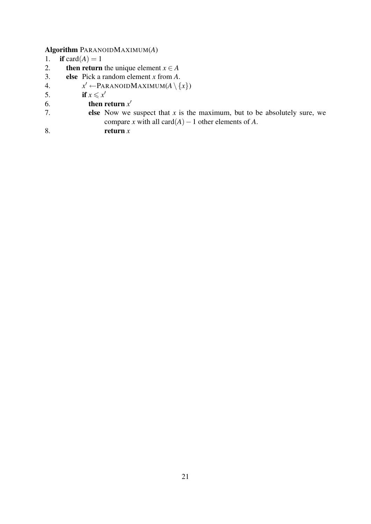# Algorithm PARANOIDMAXIMUM(*A*)

- 1. if card $(A) = 1$
- 2. **then return** the unique element  $x \in A$
- 3. else Pick a random element *x* from *A*.
- 4. *x*  $x' \leftarrow$ PARANOIDMAXIMUM $(A \setminus \{x\})$
- 5. if  $x \leq x'$
- 6. then return  $x'$
- 7. **else** Now we suspect that  $x$  is the maximum, but to be absolutely sure, we compare *x* with all card $(A)$  – 1 other elements of *A*.
- 8. return *x*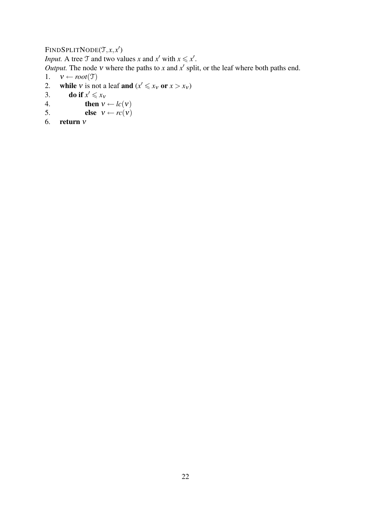# FINDSPLITNODE(T, x, x')

*Input.* A tree  $\mathcal{T}$  and two values *x* and *x*<sup> $\prime$ </sup> with  $x \leq x'$ .

*Output*. The node v where the paths to x and  $x'$  split, or the leaf where both paths end.

```
1. v \leftarrow root(\mathcal{T})<br>2. while v is no
2. while v is not a leaf and (x' \le x_v \text{ or } x > x_v)
```

```
3. do if x' \leq x_v
```

```
4. then v \leftarrow lc(v)<br>5. else v \leftarrow rc(v)else v \leftarrow rc(v)
```
6. return ν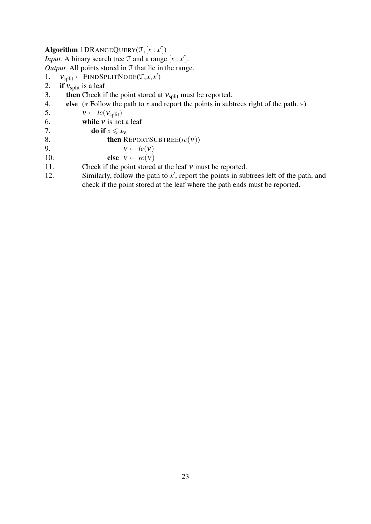# Algorithm  $1DR$ ANGEQUERY $(T, [x : x'])$

*Input.* A binary search tree  $\mathcal T$  and a range  $[x : x']$ . *Output.* All points stored in T that lie in the range.

- 1.  $v_{split} \leftarrow$ FINDSPLITNODE(*T*,*x*,*x'*)
- 2. if  $v_{split}$  is a leaf<br>3. then Check if
- then Check if the point stored at  $v_{split}$  must be reported.
- 4. else (∗ Follow the path to *x* and report the points in subtrees right of the path. ∗)
- 5.  $v \leftarrow lc(v_{split})$ <br>6. **while** *v* is not
- while  $v$  is not a leaf
- 7. do if  $x \le x_v$ <br>8. then R
- **then REPORTSUBTREE** $(rc(v))$
- 9.  $v \leftarrow lc(v)$
- 10. **else**  $v \leftarrow rc(v)$
- 11. Check if the point stored at the leaf v must be reported.
- 12. Similarly, follow the path to  $x'$ , report the points in subtrees left of the path, and check if the point stored at the leaf where the path ends must be reported.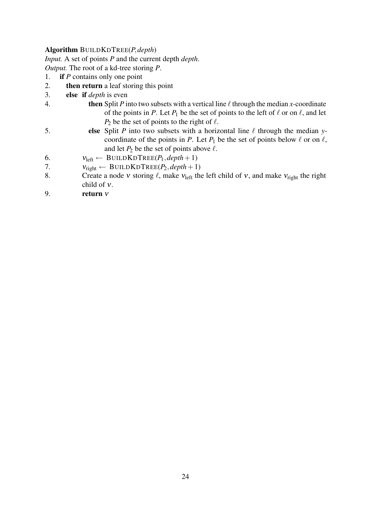#### Algorithm BUILDKDTREE(*P*,*depth*)

*Input.* A set of points *P* and the current depth *depth*.

*Output.* The root of a kd-tree storing *P*.

- 1. if *P* contains only one point
- 2. then return a leaf storing this point
- 3. else if *depth* is even
- 4. **then** Split *P* into two subsets with a vertical line  $\ell$  through the median *x*-coordinate of the points in *P*. Let  $P_1$  be the set of points to the left of  $\ell$  or on  $\ell$ , and let  $P_2$  be the set of points to the right of  $\ell$ .
- 5. **else** Split *P* into two subsets with a horizontal line  $\ell$  through the median *y*coordinate of the points in *P*. Let  $P_1$  be the set of points below  $\ell$  or on  $\ell$ , and let  $P_2$  be the set of points above  $\ell$ .
- 6.  $v_{\text{left}} \leftarrow \text{BULDKD} \text{KDF} \text{REE}(P_1, \text{depth} + 1)$
- 7.  $V_{\text{right}} \leftarrow \text{BULDKDTREE}(P_2, depth + 1)$ <br>8. Create a node *v* storing  $\ell$ , make  $V_{\text{left}}$  the
- Create a node v storing  $\ell$ , make  $v_{\text{left}}$  the left child of v, and make  $v_{\text{right}}$  the right child of ν.
- 9. return  $v$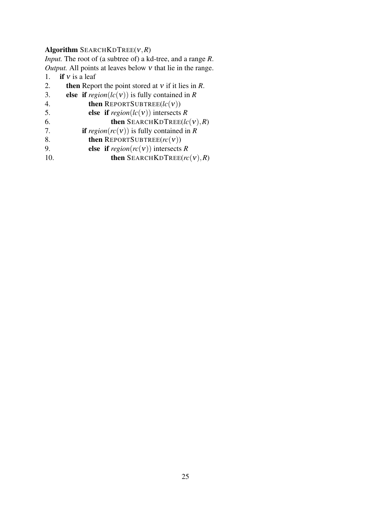#### Algorithm SEARCHKDTREE(ν,*R*)

*Input.* The root of (a subtree of) a kd-tree, and a range *R*. *Output.* All points at leaves below ν that lie in the range.

- 1. if  $v$  is a leaf<br>2. then Repo
- 2. **then** Report the point stored at *v* if it lies in *R*.<br>3. **else if**  $rezioni(c(v))$  is fully contained in *R*
- else if  $region(lc(v))$  is fully contained in *R*
- 4. then REPORTSUBTREE(*lc*(ν))
- 
- 5. **else if**  $region(lc(v))$  intersects *R*<br>6. **then** SEARCHKDTREE(*lc* 6. **then** SEARCHKDTREE( $lc$ ( $v$ ), $R$ )<br>7. **if** region( $rc$ ( $v$ )) is fully contained in  $R$
- if  $region(rc(v))$  is fully contained in *R*
- 8. then REPORTSUBTREE(*rc*(ν))
- 9. **else if**  $region(rc(v))$  intersects *R*<br>10. **then** SEARCHKDTREE(*rc*
- then SEARCHKDTREE( $rc(v),R$ )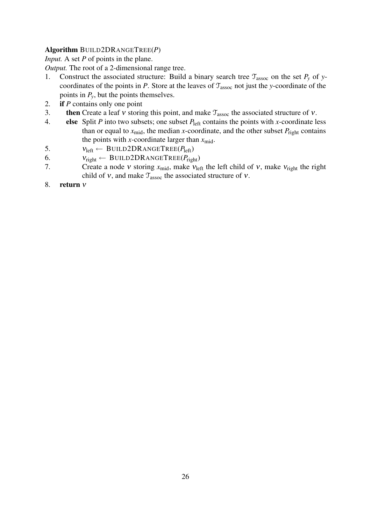# Algorithm BUILD2DRANGETREE(*P*)

*Input.* A set *P* of points in the plane.

*Output.* The root of a 2-dimensional range tree.

- 1. Construct the associated structure: Build a binary search tree  $\mathcal{T}_{assoc}$  on the set  $P_y$  of *y*coordinates of the points in *P*. Store at the leaves of  $\mathcal{T}_{assoc}$  not just the *y*-coordinate of the points in *Py*, but the points themselves.
- 2. if *P* contains only one point
- 3. then Create a leaf v storing this point, and make  $T_{assoc}$  the associated structure of v.
- 4. else Split  $P$  into two subsets; one subset  $P_{\text{left}}$  contains the points with *x*-coordinate less than or equal to  $x_{mid}$ , the median *x*-coordinate, and the other subset  $P_{right}$  contains the points with *x*-coordinate larger than  $x_{mid}$ .
- 5.  $v_{\text{left}} \leftarrow \text{BULD2DRANGETREE}(P_{\text{left}})$
- 6.  $v_{\text{right}} \leftarrow \text{BULD2DRANGETREE}(P_{\text{right}})$
- 7. Create a node *v* storing  $x_{mid}$ , make  $v_{left}$  the left child of *v*, make  $v_{right}$  the right child of  $v$ , and make  $\mathcal{T}_{assoc}$  the associated structure of  $v$ .
- 8. return ν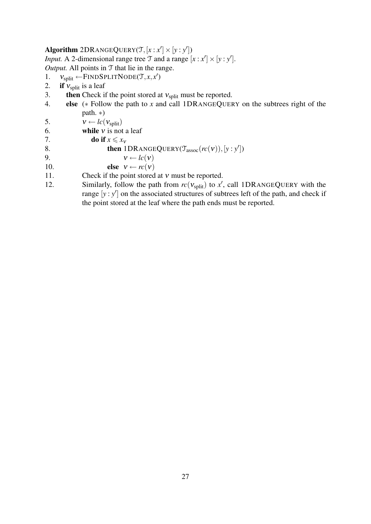# Algorithm  $2DR$  ANGEQUERY( $\mathcal{T}, [x : x'] \times [y : y']$ )

*Input.* A 2-dimensional range tree  $\mathcal{T}$  and a range  $[x : x'] \times [y : y']$ . *Output.* All points in T that lie in the range.

- 1.  $v_{split} \leftarrow$ FINDSPLITNODE(*T*,*x*,*x'*)
- 2. if  $v_{\text{split}}$  is a leaf
- 3. **then** Check if the point stored at  $v_{split}$  must be reported.
- 4. else (∗ Follow the path to *x* and call 1DRANGEQUERY on the subtrees right of the path. ∗)

5.  $v \leftarrow lc(v_{split})$ 

- 6. while  $v$  is not a leaf
- 7. do if  $x \le x_v$ <br>8. then 1

8. **then**  $1DRANGEQuery(\mathcal{T}_{assoc}(rc(v)), [y : y'])$ 

9.  $v \leftarrow lc(v)$ 10. **else**  $v \leftarrow rc(v)$ 

- 11. Check if the point stored at *v* must be reported.
- 12. Similarly, follow the path from  $rc(v_{split})$  to  $x'$ , call 1DRANGEQUERY with the range  $[y : y']$  on the associated structures of subtrees left of the path, and check if the point stored at the leaf where the path ends must be reported.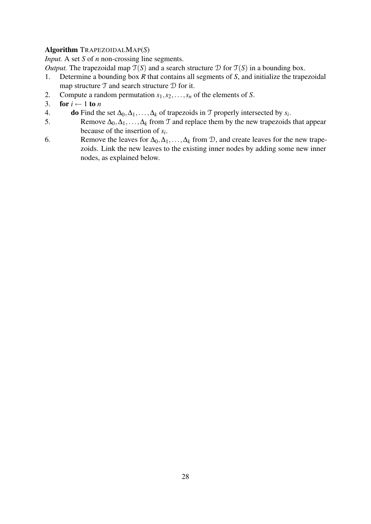# Algorithm TRAPEZOIDALMAP(*S*)

*Input.* A set *S* of *n* non-crossing line segments.

*Output*. The trapezoidal map  $\tilde{T}(S)$  and a search structure  $D$  for  $\tilde{T}(S)$  in a bounding box.

- 1. Determine a bounding box *R* that contains all segments of *S*, and initialize the trapezoidal map structure  $\mathcal T$  and search structure  $\mathcal D$  for it.
- 2. Compute a random permutation  $s_1, s_2, \ldots, s_n$  of the elements of *S*.
- 3. for  $i \leftarrow 1$  to *n*
- 4. do Find the set  $\Delta_0, \Delta_1, \ldots, \Delta_k$  of trapezoids in  $\mathcal T$  properly intersected by  $s_i$ .
- 5. Remove  $\Delta_0, \Delta_1, \ldots, \Delta_k$  from  $\mathcal T$  and replace them by the new trapezoids that appear because of the insertion of *s<sup>i</sup>* .
- 6. Remove the leaves for  $\Delta_0, \Delta_1, \ldots, \Delta_k$  from D, and create leaves for the new trapezoids. Link the new leaves to the existing inner nodes by adding some new inner nodes, as explained below.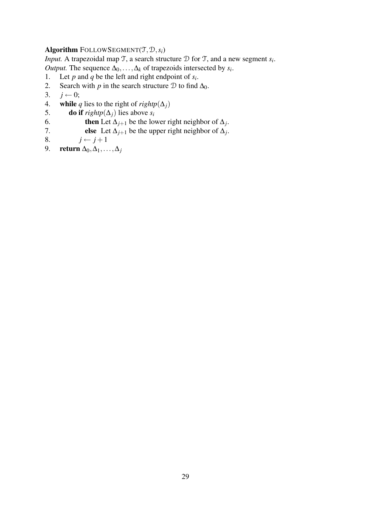#### Algorithm FOLLOWSEGMENT $(T, D, s_i)$

*Input.* A trapezoidal map  $\mathcal{T}$ , a search structure  $\mathcal{D}$  for  $\mathcal{T}$ , and a new segment  $s_i$ . *Output.* The sequence  $\Delta_0, \ldots, \Delta_k$  of trapezoids intersected by *s<sub>i</sub>*.

- 1. Let *p* and *q* be the left and right endpoint of  $s_i$ .
- 2. Search with *p* in the search structure  $D$  to find  $\Delta_0$ .<br>3.  $j \leftarrow 0$ ;
- $j \leftarrow 0;$
- 4. while *q* lies to the right of *rightp* $(\Delta_i)$
- 5. **do if** *rightp*( $\Delta_j$ ) lies above *s<sub>i</sub>* 6. **then** Let  $\Delta_{i+1}$  be the low
- 6. **then** Let  $\Delta_{j+1}$  be the lower right neighbor of  $\Delta_j$ .
- 7. **else** Let  $\Delta_{j+1}$  be the upper right neighbor of  $\Delta_j$ .
- 8.  $j \leftarrow j+1$
- 9. return ∆0,∆1,...,∆*<sup>j</sup>*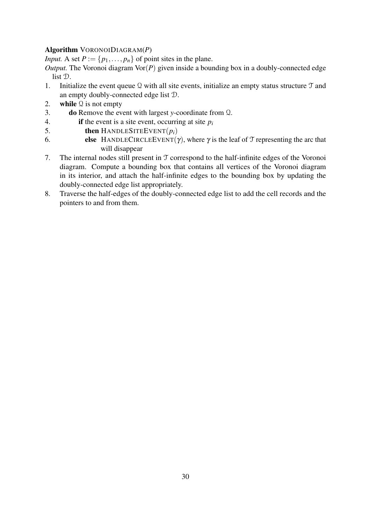# Algorithm VORONOIDIAGRAM(*P*)

*Input.* A set  $P := \{p_1, \ldots, p_n\}$  of point sites in the plane.

*Output.* The Voronoi diagram  $\text{Vor}(P)$  given inside a bounding box in a doubly-connected edge list D.

- 1. Initialize the event queue  $\Omega$  with all site events, initialize an empty status structure  $\mathcal T$  and an empty doubly-connected edge list D.
- 2. while  $\mathcal Q$  is not empty
- 3. do Remove the event with largest *y*-coordinate from Q.
- 4. **if** the event is a site event, occurring at site  $p_i$
- 5. then HANDLESITEEVENT(*pi*)
- 6. else HANDLECIRCLEEVENT(γ), where  $\gamma$  is the leaf of  $\mathcal T$  representing the arc that will disappear
- 7. The internal nodes still present in T correspond to the half-infinite edges of the Voronoi diagram. Compute a bounding box that contains all vertices of the Voronoi diagram in its interior, and attach the half-infinite edges to the bounding box by updating the doubly-connected edge list appropriately.
- 8. Traverse the half-edges of the doubly-connected edge list to add the cell records and the pointers to and from them.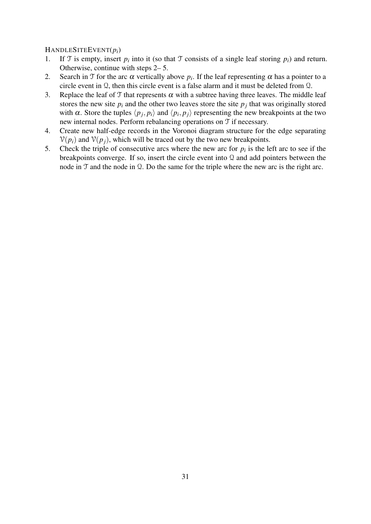#### HANDLESITEEVENT(*pi*)

- 1. If T is empty, insert  $p_i$  into it (so that T consists of a single leaf storing  $p_i$ ) and return. Otherwise, continue with steps 2– 5.
- 2. Search in T for the arc  $\alpha$  vertically above  $p_i$ . If the leaf representing  $\alpha$  has a pointer to a circle event in Q, then this circle event is a false alarm and it must be deleted from Q.
- 3. Replace the leaf of T that represents  $\alpha$  with a subtree having three leaves. The middle leaf stores the new site  $p_i$  and the other two leaves store the site  $p_j$  that was originally stored with  $\alpha$ . Store the tuples  $\langle p_j, p_i \rangle$  and  $\langle p_i, p_j \rangle$  representing the new breakpoints at the two new internal nodes. Perform rebalancing operations on T if necessary.
- 4. Create new half-edge records in the Voronoi diagram structure for the edge separating  $V(p_i)$  and  $V(p_i)$ , which will be traced out by the two new breakpoints.
- 5. Check the triple of consecutive arcs where the new arc for  $p_i$  is the left arc to see if the breakpoints converge. If so, insert the circle event into Q and add pointers between the node in T and the node in Q. Do the same for the triple where the new arc is the right arc.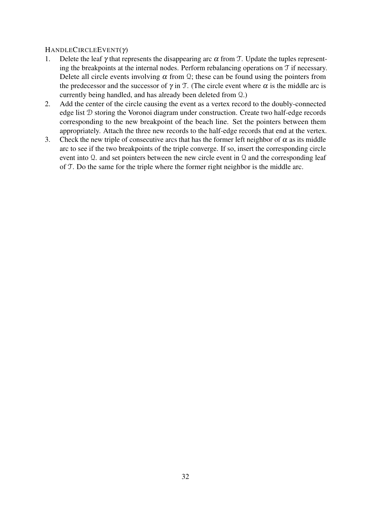#### HANDLECIRCLEEVENT(γ)

- 1. Delete the leaf  $\gamma$  that represents the disappearing arc  $\alpha$  from T. Update the tuples representing the breakpoints at the internal nodes. Perform rebalancing operations on T if necessary. Delete all circle events involving  $\alpha$  from  $\Omega$ ; these can be found using the pointers from the predecessor and the successor of  $\gamma$  in T. (The circle event where  $\alpha$  is the middle arc is currently being handled, and has already been deleted from Q.)
- 2. Add the center of the circle causing the event as a vertex record to the doubly-connected edge list D storing the Voronoi diagram under construction. Create two half-edge records corresponding to the new breakpoint of the beach line. Set the pointers between them appropriately. Attach the three new records to the half-edge records that end at the vertex.
- 3. Check the new triple of consecutive arcs that has the former left neighbor of  $\alpha$  as its middle arc to see if the two breakpoints of the triple converge. If so, insert the corresponding circle event into Q. and set pointers between the new circle event in Q and the corresponding leaf of T. Do the same for the triple where the former right neighbor is the middle arc.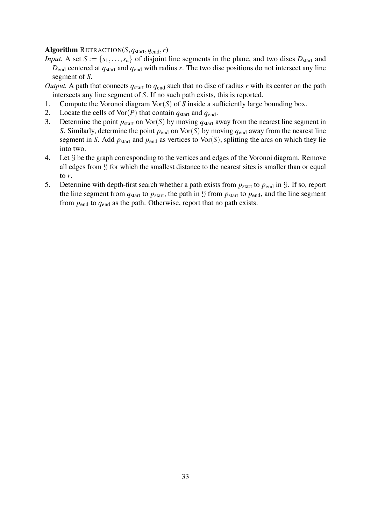#### Algorithm RETRACTION(*S*,*q*start,*q*end,*r*)

- *Input.* A set  $S := \{s_1, \ldots, s_n\}$  of disjoint line segments in the plane, and two discs  $D_{\text{start}}$  and  $D_{end}$  centered at  $q_{start}$  and  $q_{end}$  with radius  $r$ . The two disc positions do not intersect any line segment of *S*.
- *Output.* A path that connects  $q_{start}$  to  $q_{end}$  such that no disc of radius  $r$  with its center on the path intersects any line segment of *S*. If no such path exists, this is reported.
- 1. Compute the Voronoi diagram Vor(*S*) of *S* inside a sufficiently large bounding box.
- 2. Locate the cells of  $\text{Vor}(P)$  that contain  $q_{\text{start}}$  and  $q_{\text{end}}$ .
- 3. Determine the point  $p_{start}$  on  $\text{Vor}(S)$  by moving  $q_{start}$  away from the nearest line segment in *S*. Similarly, determine the point  $p_{end}$  on Vor(*S*) by moving  $q_{end}$  away from the nearest line segment in *S*. Add  $p_{\text{start}}$  and  $p_{\text{end}}$  as vertices to Vor(*S*), splitting the arcs on which they lie into two.
- 4. Let G be the graph corresponding to the vertices and edges of the Voronoi diagram. Remove all edges from G for which the smallest distance to the nearest sites is smaller than or equal to *r*.
- 5. Determine with depth-first search whether a path exists from  $p_{\text{start}}$  to  $p_{\text{end}}$  in G. If so, report the line segment from  $q_{start}$  to  $p_{start}$ , the path in  $\mathcal G$  from  $p_{start}$  to  $p_{end}$ , and the line segment from *p*end to *q*end as the path. Otherwise, report that no path exists.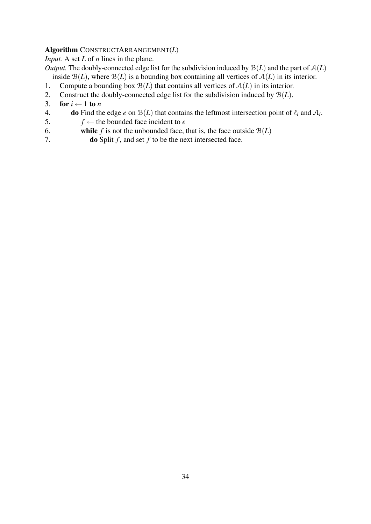#### Algorithm CONSTRUCTARRANGEMENT(*L*)

*Input.* A set *L* of *n* lines in the plane.

*Output.* The doubly-connected edge list for the subdivision induced by  $B(L)$  and the part of  $A(L)$ inside  $B(L)$ , where  $B(L)$  is a bounding box containing all vertices of  $A(L)$  in its interior.

- 1. Compute a bounding box  $\mathcal{B}(L)$  that contains all vertices of  $\mathcal{A}(L)$  in its interior.
- 2. Construct the doubly-connected edge list for the subdivision induced by B(*L*).
- 3. for  $i \leftarrow 1$  to *n*
- 4. do Find the edge *e* on  $B(L)$  that contains the leftmost intersection point of  $\ell_i$  and  $A_i$ .
- 5.  $f \leftarrow$  the bounded face incident to *e*
- 6. while *f* is not the unbounded face, that is, the face outside  $B(L)$
- 7. do Split *f* , and set *f* to be the next intersected face.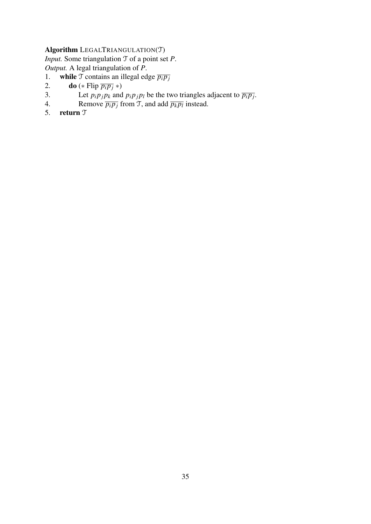# Algorithm LEGALTRIANGULATION(T)

*Input.* Some triangulation T of a point set *P*. *Output.* A legal triangulation of *P*.

- 1. **while**  $\overrightarrow{T}$  contains an illegal edge  $\overrightarrow{p_i p_j}$ <br>2. **do** (\* Flip  $\overrightarrow{p_i p_i}$  \*)
- 2. **do** (\* Flip  $\overline{p_i p_j}$  \*)<br>3. Let  $p_i p_j p_k$  and
- 3. Let  $p_i p_j p_k$  and  $p_i p_j p_l$  be the two triangles adjacent to  $\overline{p_i p_j}$ .
- 4. Remove  $\overline{p_i p_j}$  from T, and add  $\overline{p_k p_l}$  instead.
- 5. return T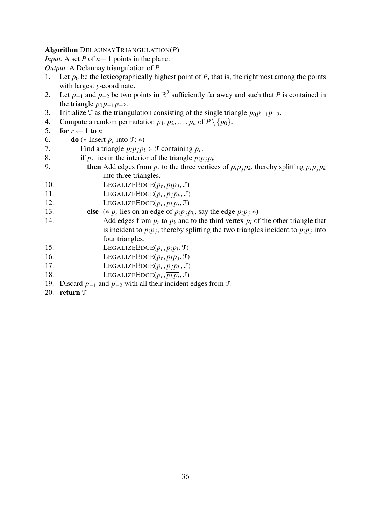#### Algorithm DELAUNAYTRIANGULATION(*P*)

*Input.* A set *P* of  $n+1$  points in the plane.

*Output.* A Delaunay triangulation of *P*.

- 1. Let  $p_0$  be the lexicographically highest point of  $P$ , that is, the rightmost among the points with largest *y*-coordinate.
- 2. Let  $p_{-1}$  and  $p_{-2}$  be two points in  $\mathbb{R}^2$  sufficiently far away and such that P is contained in the triangle  $p_0 p_{-1} p_{-2}$ .
- 3. Initialize  $\mathcal{T}$  as the triangulation consisting of the single triangle  $p_0 p_{-1} p_{-2}$ .
- 4. Compute a random permutation  $p_1, p_2, \ldots, p_n$  of  $P \setminus \{p_0\}.$
- 5. for  $r \leftarrow 1$  to *n*
- 6. **do** (\* Insert  $p_r$  into  $\mathfrak{T}:$  \*)
- 7. Find a triangle  $p_i p_j p_k \in \mathcal{T}$  containing  $p_r$ .
- 8. **if**  $p_r$  lies in the interior of the triangle  $p_i p_j p_k$
- 9. **then** Add edges from  $p_r$  to the three vertices of  $p_i p_j p_k$ , thereby splitting  $p_i p_j p_k$ into three triangles.
- 10. LEGALIZEEDGE( $p_r$ ,  $\overline{p_i p_j}$ ,  $\Im$ )
- 11. LEGALIZEEDGE( $p_r$ ,  $\overline{p_j p_k}$ ,  $\mathcal{T}$ )
- 12. LEGALIZEEDGE( $p_r$ ,  $\overline{p_k p_i}$ ,  $\mathcal{T}$ )
- 13. **else**  $(* p<sub>r</sub>$  lies on an edge of  $p<sub>i</sub>p<sub>j</sub>p<sub>k</sub>$ , say the edge  $\overline{p<sub>i</sub>p<sub>j</sub>}*)$
- 14. Add edges from  $p_r$  to  $p_k$  and to the third vertex  $p_l$  of the other triangle that is incident to  $\overline{p_i p_j}$ , thereby splitting the two triangles incident to  $\overline{p_i p_j}$  into four triangles.
- 15. LEGALIZEEDGE( $p_r$ ,  $\overline{p_i p_l}$ ,  $\mathcal{T}$ )
- 16. LEGALIZEEDGE( $p_r$ ,  $\overline{p_l p_j}$ ,  $\Im$ )
- 17. LEGALIZEEDGE( $p_r$ ,  $\overline{p_j p_k}$ ,  $\mathcal{T}$ )
- 18. LEGALIZEEDGE( $p_r$ ,  $\overline{p_k p_i}$ ,  $\mathcal{T}$ )
- 19. Discard *p*−<sup>1</sup> and *p*−<sup>2</sup> with all their incident edges from T.
- 20. return T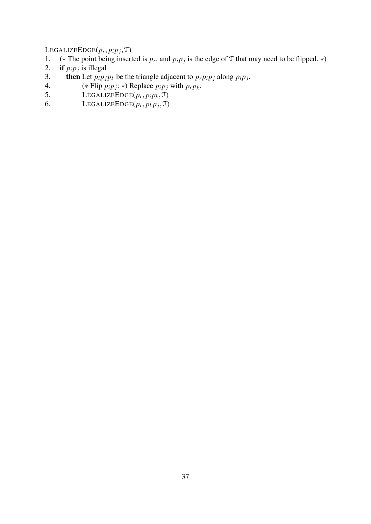$\text{LEGALIZEEDGE}(p_r, \overline{p_ip_j}, \mathfrak{T})$ 

- 1. (\* The point being inserted is  $p_r$ , and  $\overline{p_i p_j}$  is the edge of T that may need to be flipped. \*)
- 2. **if**  $\overline{p_i p_j}$  is illegal
- 3. then Let  $p_i p_j p_k$  be the triangle adjacent to  $p_r p_i p_j$  along  $\overline{p_i p_j}$ .
- 4. (\* Flip  $\overline{p_i p_j}$ : \*) Replace  $\overline{p_i p_j}$  with  $\overline{p_r p_k}$ .
- 5. LEGALIZEEDGE( $p_r$ ,  $\overline{p_i p_k}$ ,  $\mathcal{T}$ )
- 6. LEGALIZEEDGE( $p_r$ ,  $\overline{p_k p_j}$ , T)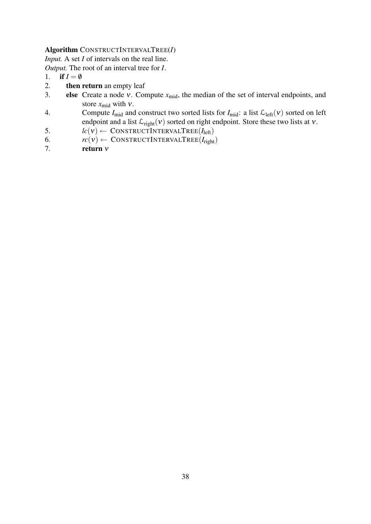#### Algorithm CONSTRUCTINTERVALTREE(*I*)

*Input.* A set *I* of intervals on the real line.

*Output.* The root of an interval tree for *I*.

- 1. if  $I = \emptyset$
- 2. then return an empty leaf
- 3. **else** Create a node *v*. Compute  $x_{mid}$ , the median of the set of interval endpoints, and store  $x_{mid}$  with  $v$ .
- 4. Compute  $I_{mid}$  and construct two sorted lists for  $I_{mid}$ : a list  $\mathcal{L}_{left}(v)$  sorted on left endpoint and a list  $\mathcal{L}_{right}(v)$  sorted on right endpoint. Store these two lists at v.
- 5.  $lc(\mathbf{v}) \leftarrow \text{CONSTRUCTINTERVALTREE}(I_{\text{left}})$ <br>6.  $rc(\mathbf{v}) \leftarrow \text{CONSTRUCTINTERVALTREE}(I_{\text{right}})$
- 6.  $rc(v) \leftarrow \text{CONSTRUCTINTERVALTREE}(I_{\text{right}})$ <br>7. **return** *v*
- return ν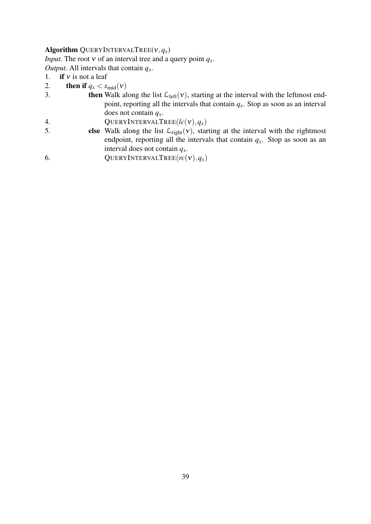#### Algorithm QUERYINTERVALTREE $(v, q_x)$

*Input.* The root  $v$  of an interval tree and a query point  $q_x$ .

*Output.* All intervals that contain *qx*.

- 1. if v is not a leaf<br>2. then if  $q_x < x_0$
- 2. **then if**  $q_x < x_{\text{mid}}(v)$ <br>3. **then** Walk al
- then Walk along the list  $\mathcal{L}_{\text{left}}(v)$ , starting at the interval with the leftmost endpoint, reporting all the intervals that contain *qx*. Stop as soon as an interval does not contain *qx*.
- 4. QUERYINTERVALTREE( $lc(v), q_x$ )<br>5. **else** Walk along the list  $\mathcal{L}_{\text{right}(v)}$ , star
- else Walk along the list  $\mathcal{L}_{right}(v)$ , starting at the interval with the rightmost endpoint, reporting all the intervals that contain  $q<sub>x</sub>$ . Stop as soon as an interval does not contain *qx*.
- 6. QUERYINTERVALTREE $(rc(v), q_x)$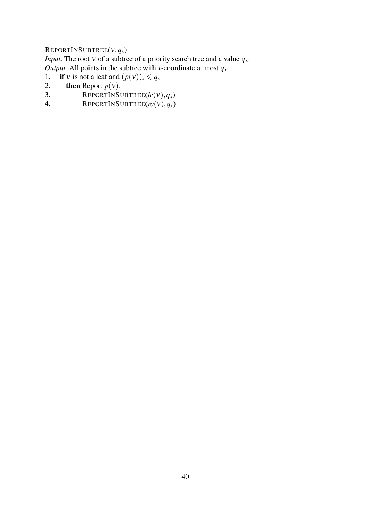# REPORTINSUBTREE(ν,*qx*)

*Input.* The root  $v$  of a subtree of a priority search tree and a value  $q_x$ . *Output.* All points in the subtree with *x*-coordinate at most  $q_x$ .

- 1. if *v* is not a leaf and  $(p(v))_x \le q_x$ <br>2. then Report  $p(v)$ .
- 2. **then** Report  $p(v)$ .<br>3. **REPORTINSU**
- $REPORTINSUBTREE(lc(v), q_x)$
- 4. REPORTINSUBTREE $(rc(v), q_x)$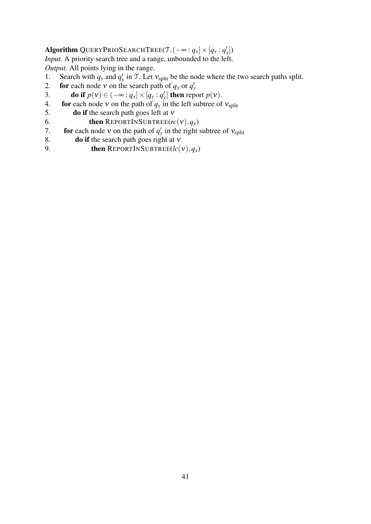# $\bf{Algorithm}\ \rm{QueryPRIOSEARCHTree}(\mathcal{T},(-\infty:q_x]\times[q_y:q_y'])$

*Input.* A priority search tree and a range, unbounded to the left. *Output.* All points lying in the range.

- 1. Search with  $q_y$  and  $q'_y$  in T. Let  $v_{split}$  be the node where the two search paths split.
- 2. **for** each node v on the search path of  $q_y$  or  $q'_y$
- 3. do if  $p(v) \in (-\infty : q_x] \times [q_y : q'_y]$  then report  $p(v)$ .
- 4. **for** each node *v* on the path of  $q_y$  in the left subtree of  $v_{split}$ <br>5. **do if** the search path goes left at *v*
- 5. **do if** the search path goes left at  $v$ <br>6. **then** REPORTINSUBTREE( $rc$ 
	- then REPORTINSUBTREE $(rc(v), q_x)$
- 7. **for** each node v on the path of  $q'_y$  in the right subtree of  $v_{split}$
- 8. do if the search path goes right at ν
- 9. **then** REPORTINSUBTREE( $lc$ ( $v$ ), $q_x$ )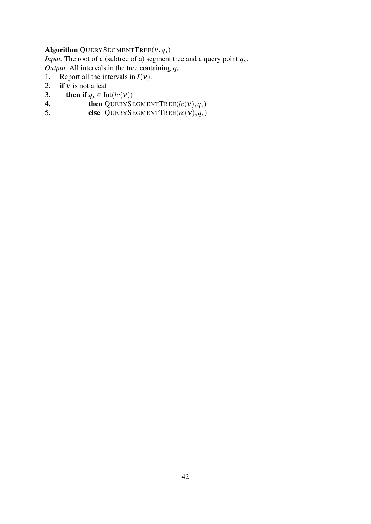# Algorithm QUERYSEGMENTTREE( $v, q_x$ )

*Input.* The root of a (subtree of a) segment tree and a query point  $q_x$ .

*Output.* All intervals in the tree containing  $q_x$ .

- 1. Report all the intervals in  $I(v)$ .<br>2. **if** v is not a leaf
- 2. if *v* is not a leaf<br>3. then if  $a_x \in \text{In}$
- **then if**  $q_x \in \text{Int}(lc(v))$
- 4. **then** QUERYSEGMENTTREE( $lc(v), q_x$ )<br>5. **else** OUERYSEGMENTTREE( $rc(v), q_x$ )
- else QUERYSEGMENTTREE $(rc(v), q_x)$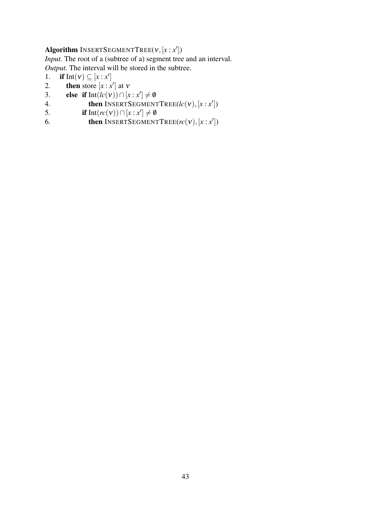# Algorithm INSERTSEGMENTTREE(ν,[*x* : *x* 0 ])

*Input.* The root of a (subtree of a) segment tree and an interval. *Output.* The interval will be stored in the subtree.

- 1. **if**  $Int(v) \subseteq [x : x']$
- 2. **then** store  $[x : x']$  at v
- 3. **else** if  $Int(lc(v)) \cap [x : x'] \neq \emptyset$
- 4. **then** INSERTSEGMENTTREE( $lc(v), [x : x'])$
- 5. if Int $(rc(v)) \cap [x : x'] \neq \emptyset$
- 6. **then** INSERTSEGMENTTREE( $rc(v)$ ,  $[x : x']$ )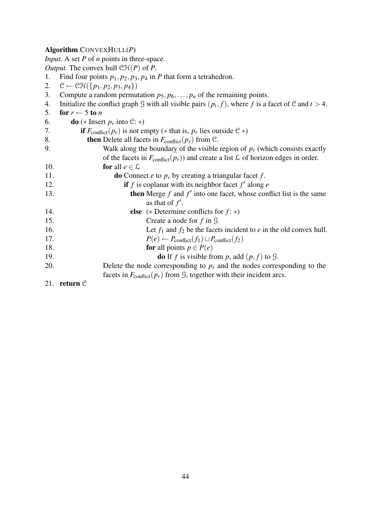#### Algorithm CONVEXHULL(*P*)

*Input.* A set *P* of *n* points in three-space.

*Output.* The convex hull  $\mathcal{CH}(P)$  of  $P$ .

- 1. Find four points  $p_1$ ,  $p_2$ ,  $p_3$ ,  $p_4$  in *P* that form a tetrahedron.<br>2.  $\mathcal{C} \leftarrow \mathcal{CH}(\lbrace p_1, p_2, p_3, p_4 \rbrace)$
- $\mathcal{C} \leftarrow \widehat{\mathcal{CH}(\{p_1, p_2, p_3, p_4\})}$
- 3. Compute a random permutation  $p_5, p_6, \ldots, p_n$  of the remaining points.
- 4. Initialize the conflict graph G with all visible pairs  $(p_t, f)$ , where f is a facet of C and  $t > 4$ .
- 5. for  $r \leftarrow 5$  to *n*

| 6.  | <b>do</b> (* Insert $p_r$ into $\mathcal{C}:$ *)                                                   |
|-----|----------------------------------------------------------------------------------------------------|
| 7.  | <b>if</b> $F_{\text{conflict}}(p_r)$ is not empty (* that is, $p_r$ lies outside $C \rightarrow$ ) |
| 8.  | <b>then</b> Delete all facets in $F_{conflict}(p_r)$ from C.                                       |
| 9.  | Walk along the boundary of the visible region of $p_r$ (which consists exactly                     |
|     | of the facets in $F_{conflict}(p_r)$ and create a list $\mathcal L$ of horizon edges in order.     |
| 10. | for all $e \in \mathcal{L}$                                                                        |
| 11. | <b>do</b> Connect <i>e</i> to $p_r$ by creating a triangular facet f.                              |
| 12. | if f is coplanar with its neighbor facet $f'$ along $e$                                            |
| 13. | <b>then</b> Merge $f$ and $f'$ into one facet, whose conflict list is the same                     |
|     | as that of $f'$ .                                                                                  |
| 14. | <b>else</b> (* Determine conflicts for $f:$ *)                                                     |
| 15. | Create a node for $f$ in $\mathcal{G}$ .                                                           |
| 16. | Let $f_1$ and $f_2$ be the facets incident to <i>e</i> in the old convex hull.                     |
| 17. | $P(e) \leftarrow P_{conflict}(f_1) \cup P_{conflict}(f_2)$                                         |
| 18. | <b>for</b> all points $p \in P(e)$                                                                 |
| 19. | <b>do</b> If f is visible from p, add $(p, f)$ to $\mathcal{G}$ .                                  |
| 20. | Delete the node corresponding to $p_r$ and the nodes corresponding to the                          |
|     | facets in $F_{\text{conflict}}(p_r)$ from $\mathcal{G}$ , together with their incident arcs.       |
| 21. | return $C$                                                                                         |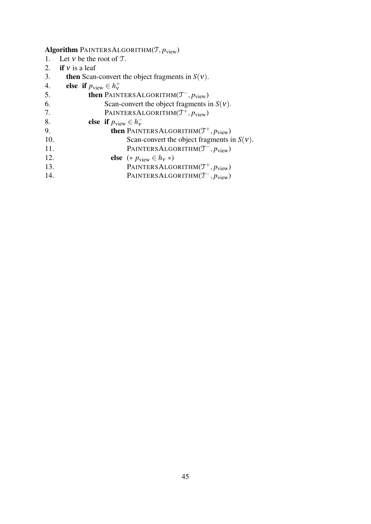# Algorithm PAINTERSALGORITHM(T, *p*view)

- 1. Let *v* be the root of  $T$ .<br>2. **if** *v* is a leaf
- 2. if  $v$  is a leaf<br>3. then Scan-
- 3. **then** Scan-convert the object fragments in *S*(*v*).<br>4. **else** if  $p_{\text{view}} \in h_v^+$
- 4. **else if**  $p_{\text{view}} \in h_v^+$ ν

| 5.  | <b>then</b> PAINTERSALGORITHM( $T^-$ , $p_{view}$ )    |
|-----|--------------------------------------------------------|
| 6.  | Scan-convert the object fragments in $S(v)$ .          |
| 7.  | PAINTERSALGORITHM $(\mathcal{T}^+, p_{\text{view}})$   |
| 8.  | else if $p_{\text{view}} \in h_{\text{v}}^-$           |
| 9.  | <b>then</b> PAINTERSALGORITHM( $T^+$ , $p_{view}$ )    |
| 10. | Scan-convert the object fragments in $S(v)$ .          |
| 11. | PAINTERSALGORITHM $(\mathcal{T}^{-}, p_{\text{view}})$ |
| 12. | <b>else</b> $(* p_{view} \in h_v *)$                   |
| 13. | PAINTERSALGORITHM $(\mathcal{T}^+, p_{\text{view}})$   |
| 14. | PAINTERSALGORITHM $(\mathcal{T}^{-}, p_{\text{view}})$ |
|     |                                                        |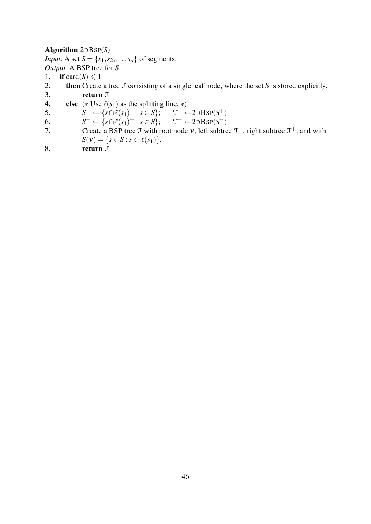#### Algorithm 2DBSP(*S*)

*Input.* A set  $S = \{s_1, s_2, \ldots, s_n\}$  of segments. *Output.* A BSP tree for *S*.

- 1. if card $(S) \leq 1$
- 2. then Create a tree T consisting of a single leaf node, where the set *S* is stored explicitly. 3. return T
- 4. **else**  $(* \n \text{Use } \ell(s_1) \text{ as the splitting line. } *)$

5. *S*  $f^+ \leftarrow \{ s \cap \ell(s_1)^+ : s \in S \}; \quad \mathfrak{I}$ <sup> $+$ </sup> ←2DBSP( $S^+$ )

6. *S*  $\tau^- \leftarrow \{ s \cap \ell(s_1)^- : s \in S \}; \quad \mathfrak{T}$ <sup>−</sup> ←2DBSP(*S* −)

- 7. Create a BSP tree  $\mathcal T$  with root node  $v$ , left subtree  $\mathcal T^-$ , right subtree  $\mathcal T^+$ , and with *S*(*v*) = {*s* ∈ *S* : *s* ⊂  $\ell(s_1)$  }.
- 8. return  $\mathcal{T}$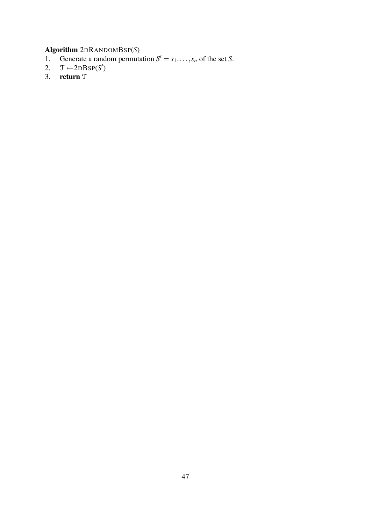### Algorithm 2DRANDOMBSP(*S*)

- 1. Generate a random permutation  $S' = s_1, \ldots, s_n$  of the set *S*.
- 2.  $\mathcal{T}$  ← 2DBSP(*S'*)
- 3. return T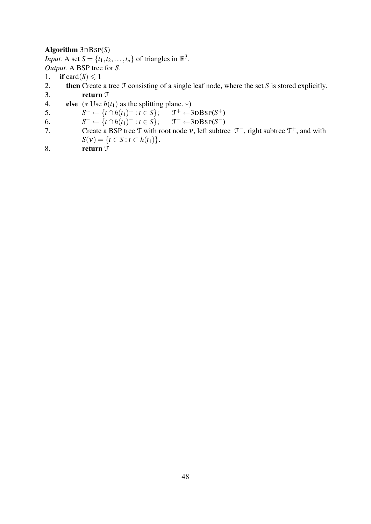#### Algorithm 3DBSP(*S*)

*Input.* A set  $S = \{t_1, t_2, \ldots, t_n\}$  of triangles in  $\mathbb{R}^3$ . *Output.* A BSP tree for *S*.

- 1. if card $(S) \leq 1$
- 2. then Create a tree T consisting of a single leaf node, where the set *S* is stored explicitly. 3. return T
- 4. **else**  $(*$  Use  $h(t_1)$  as the splitting plane.  $*$ )

5. *S*  $^+ \leftarrow \{t \cap h(t_1)^+ : t \in S\};$  T  $f^+ \leftarrow 3DBSP(S^+)$ 

- 6. *S*  $\mathcal{I}^- \leftarrow \{t \cap h(t_1)^- : t \in S\}; \quad \mathcal{I}$  $\zeta$ <sup>-</sup> ←3DBSP(S<sup>-</sup>)
- 7. Create a BSP tree  $\mathcal T$  with root node v, left subtree  $\mathcal T^-$ , right subtree  $\mathcal T^+$ , and with *S*(*v*) = {*t* ∈ *S* : *t* ⊂ *h*(*t*<sub>1</sub>)}.
- 8. return  $\mathcal{T}$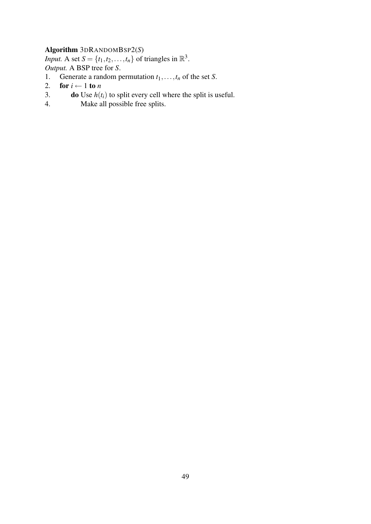# Algorithm 3DRANDOMBSP2(*S*)

*Input.* A set  $S = \{t_1, t_2, \ldots, t_n\}$  of triangles in  $\mathbb{R}^3$ . *Output.* A BSP tree for *S*.

- 1. Generate a random permutation  $t_1, \ldots, t_n$  of the set *S*.<br>2. **for**  $i \leftarrow 1$  **to** *n*
- for  $i \leftarrow 1$  to *n*
- 3. **do** Use  $h(t_i)$  to split every cell where the split is useful.
- 4. Make all possible free splits.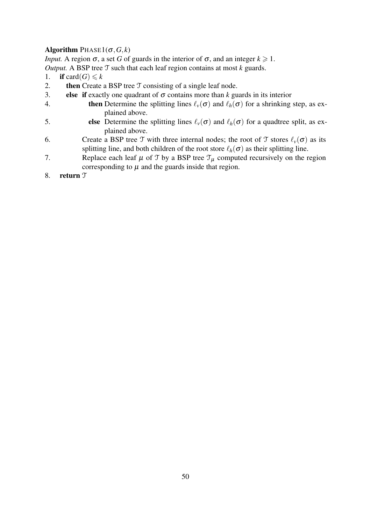# Algorithm  $PHASE1(\sigma, G, k)$

*Input.* A region  $\sigma$ , a set *G* of guards in the interior of  $\sigma$ , and an integer  $k \ge 1$ .

*Output.* A BSP tree T such that each leaf region contains at most *k* guards.

- 1. if card $(G) \le k$
- 2. **then** Create a BSP tree  $\mathcal T$  consisting of a single leaf node.
- 3. **else if** exactly one quadrant of  $\sigma$  contains more than *k* guards in its interior
- 4. **then** Determine the splitting lines  $\ell_v(\sigma)$  and  $\ell_h(\sigma)$  for a shrinking step, as explained above.
- 5. **else** Determine the splitting lines  $\ell_v(\sigma)$  and  $\ell_h(\sigma)$  for a quadtree split, as explained above.
- 6. Create a BSP tree T with three internal nodes; the root of T stores  $\ell_v(\sigma)$  as its splitting line, and both children of the root store  $\ell_h(\sigma)$  as their splitting line.
- 7. Replace each leaf  $\mu$  of  $\mathcal T$  by a BSP tree  $\mathcal T_\mu$  computed recursively on the region corresponding to  $\mu$  and the guards inside that region.
- 8. return T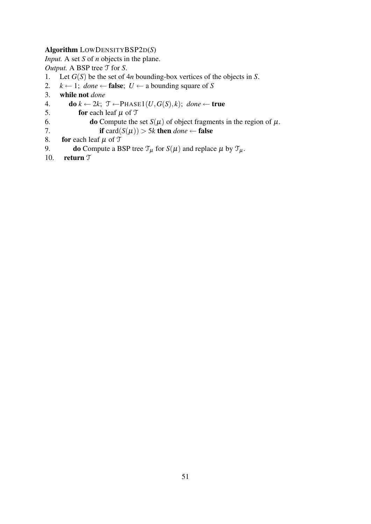#### Algorithm LOWDENSITYBSP2D(*S*)

*Input.* A set *S* of *n* objects in the plane.

*Output.* A BSP tree T for *S*.

- 1. Let *G*(*S*) be the set of 4*n* bounding-box vertices of the objects in *S*.
- 2.  $k \leftarrow 1$ ; *done*  $\leftarrow$  **false**;  $U \leftarrow$  a bounding square of *S*
- 3. while not *done*
- 4. do *k* ← 2*k*; T ←PHASE1(*U*,*G*(*S*), *k*); *done* ← true
- 5. **for** each leaf  $\mu$  of  $\mathcal{T}$ <br>6. **do** Compute the
- 6. **do** Compute the set *S*( $\mu$ ) of object fragments in the region of  $\mu$ .<br>7. **if** card( $S(\mu)$ ) > 5k **then** done  $\leftarrow$  **false**
- 7. **if** card( $S(\mu)$ ) > 5*k* then *done* ← false<br>8. **for** each leaf  $\mu$  of  $\mathcal{T}$
- for each leaf  $\mu$  of  $\mathcal T$
- 9. **do** Compute a BSP tree  $\mathcal{T}_{\mu}$  for  $S(\mu)$  and replace  $\mu$  by  $\mathcal{T}_{\mu}$ .<br>10. **return**  $\mathcal{T}$
- return  $\mathfrak T$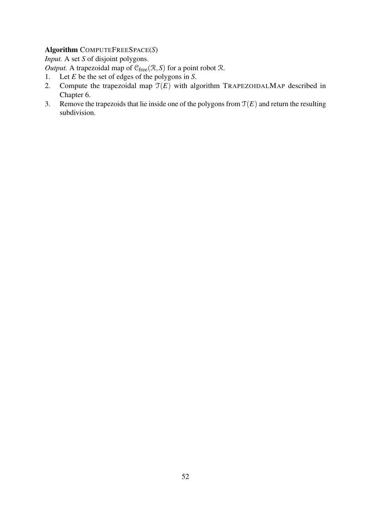# Algorithm COMPUTEFREESPACE(*S*)

*Input.* A set *S* of disjoint polygons.

*Output.* A trapezoidal map of  $C_{\text{free}}(\mathcal{R}, S)$  for a point robot  $\mathcal{R}$ .

- 1. Let *E* be the set of edges of the polygons in *S*.
- 2. Compute the trapezoidal map  $\mathfrak{T}(E)$  with algorithm TRAPEZOIDALMAP described in Chapter 6.
- 3. Remove the trapezoids that lie inside one of the polygons from  $\mathcal{T}(E)$  and return the resulting subdivision.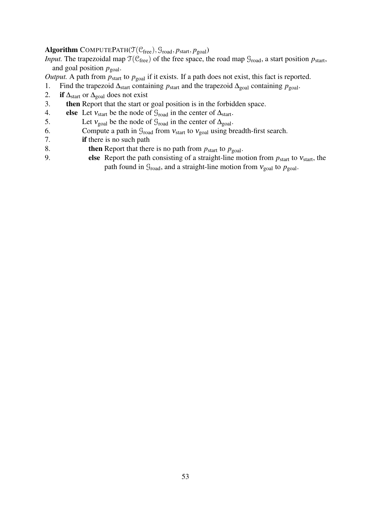# Algorithm COMPUTEPATH( $\mathcal{T}(\mathcal{C}_{free})$ ,  $\mathcal{G}_{road}, p_{start}, p_{goal}$ )

*Input.* The trapezoidal map  $\mathcal{T}(\mathcal{C}_{\text{free}})$  of the free space, the road map  $\mathcal{G}_{\text{road}}$ , a start position  $p_{\text{start}}$ , and goal position  $p_{\text{goal}}$ .

*Output.* A path from  $p_{\text{start}}$  to  $p_{\text{goal}}$  if it exists. If a path does not exist, this fact is reported.

- 1. Find the trapezoid ∆<sub>start</sub> containing *p*<sub>start</sub> and the trapezoid ∆<sub>goal</sub> containing *p*<sub>goal</sub>.
- 2. if  $\Delta_{\text{start}}$  or  $\Delta_{\text{goal}}$  does not exist
- 3. then Report that the start or goal position is in the forbidden space.
- 4. **else** Let  $v_{\text{start}}$  be the node of  $\mathcal{G}_{\text{road}}$  in the center of  $\Delta_{\text{start}}$ .<br>5. Let  $v_{\text{goal}}$  be the node of  $\mathcal{G}_{\text{road}}$  in the center of  $\Delta_{\text{goal}}$ .
- Let  $v_{\text{goal}}$  be the node of  $\mathcal{G}_{\text{road}}$  in the center of  $\Delta_{\text{goal}}$ .
- 6. Compute a path in  $\mathcal{G}_{\text{road}}$  from  $v_{\text{start}}$  to  $v_{\text{goal}}$  using breadth-first search.<br>7. **if** there is no such path
- if there is no such path
- 8. **then** Report that there is no path from  $p_{\text{start}}$  to  $p_{\text{goal}}$ .
- 9. else Report the path consisting of a straight-line motion from  $p_{start}$  to  $v_{start}$ , the path found in  $G_{\text{road}}$ , and a straight-line motion from  $v_{\text{goal}}$  to  $p_{\text{goal}}$ .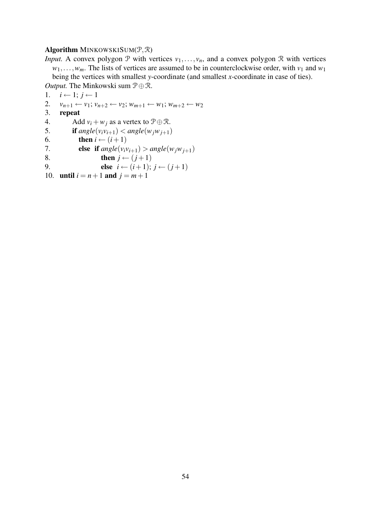#### Algorithm MINKOWSKISUM $(\mathcal{P}, \mathcal{R})$

*Input.* A convex polygon  $P$  with vertices  $v_1, \ldots, v_n$ , and a convex polygon  $R$  with vertices  $w_1, \ldots, w_m$ . The lists of vertices are assumed to be in counterclockwise order, with  $v_1$  and  $w_1$ being the vertices with smallest *y*-coordinate (and smallest *x*-coordinate in case of ties).

*Output.* The Minkowski sum  $P \oplus \mathcal{R}$ .

1.  $i \leftarrow 1; j \leftarrow 1$ 2.  $v_{n+1} \leftarrow v_1; v_{n+2} \leftarrow v_2; w_{m+1} \leftarrow w_1; w_{m+2} \leftarrow w_2$ <br>3. **repeat** 3. repeat 4. Add  $v_i + w_j$  as a vertex to  $\mathcal{P} \oplus \mathcal{R}$ . 5. if  $angle(v_i v_{i+1}) < angle(w_j w_{j+1})$ 6. **then**  $i \leftarrow (i+1)$ 7. **else if**  $angle(v_i v_{i+1}) > angle(w_i w_{i+1})$ 8. then  $j \leftarrow (j+1)$ 9. **else**  $i \leftarrow (i+1); j \leftarrow (j+1)$ 10. **until**  $i = n + 1$  **and**  $j = m + 1$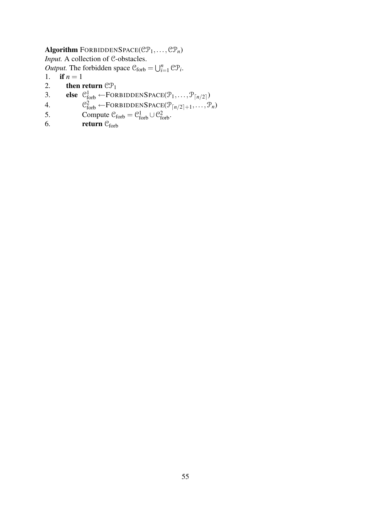# Algorithm FORBIDDENSPACE( $\mathcal{CP}_1, \ldots, \mathcal{CP}_n$ )

*Input.* A collection of C-obstacles.

*Output.* The forbidden space  $C_{\text{forb}} = \bigcup_{i=1}^{n} \mathbb{C} \mathcal{P}_i$ .

- 1. if  $n = 1$
- 2. then return  $\mathbb{CP}_1$ <br>3. else  $\mathbb{C}^1_{\text{cosh}} \leftarrow \text{FOR}$
- 3. **else**  $\mathcal{C}_{\text{forb}}^1 \leftarrow \text{FORBIDDENSPACE}(\mathcal{P}_1, \dots, \mathcal{P}_{\lceil n/2 \rceil})$
- 4.  $\mathcal{C}_{\text{forb}}^2 \leftarrow \text{FORBIDDENSPACE}(\mathcal{P}_{\lceil n/2 \rceil+1}, \ldots, \mathcal{P}_n)$
- 5. Compute  $C_{\text{forb}} = C_{\text{forb}}^1 \cup C_{\text{forb}}^2$ .
- 6. return  $C_{\text{forb}}$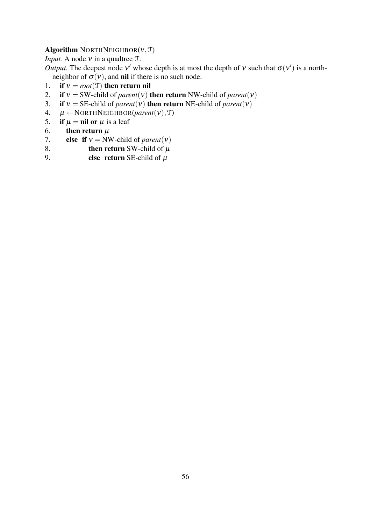# Algorithm NORTHNEIGHBOR $(v, \mathcal{T})$

*Input.* A node *v* in a quadtree *T*.

*Output*. The deepest node v' whose depth is at most the depth of v such that  $\sigma(v')$  is a northneighbor of  $\sigma(v)$ , and nil if there is no such node.<br>1. if  $v = root(T)$  then return nil

- 1. **if**  $v = root(T)$  then return nil<br>2. **if**  $v = SW$ -child of *parent*(*v*) then
- if  $v = SW\text{-child of } parent(v)$  then return NW-child of *parent*(*v*)
- 3. if  $v = SE$ -child of *parent*(*v*) then return NE-child of *parent*(*v*)
- 4.  $\mu \leftarrow \text{NORMALEIGHBOR}(parent(v), \mathcal{T})$ <br>5. **if**  $\mu = \textbf{nil} \text{ or } \mu$  is a leaf
- if  $\mu = \textbf{nil}$  or  $\mu$  is a leaf
- 6. then return  $\mu$ <br>7. else if  $v = NW$
- else if  $v = NW$ -child of *parent*(*v*)
- 8. **then return** SW-child of  $\mu$ <br>9. **else return** SE-child of  $\mu$
- else return SE-child of  $\mu$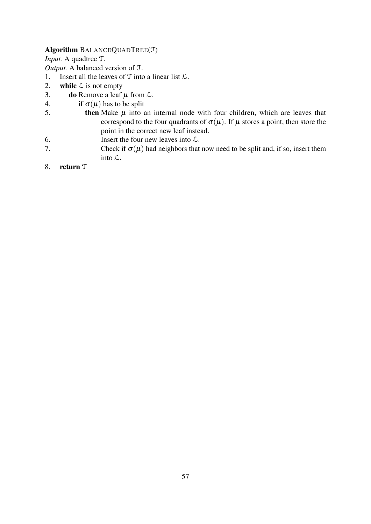#### Algorithm BALANCEQUADTREE(T)

*Input.* A quadtree T.

*Output.* A balanced version of T.

- 1. Insert all the leaves of  $T$  into a linear list  $\mathcal{L}$ .
- 2. while  $\mathcal L$  is not empty
- 3. **do** Remove a leaf  $\mu$  from  $\mathcal{L}$ .
- 4. if  $\sigma(\mu)$  has to be split
- 5. then Make  $\mu$  into an internal node with four children, which are leaves that correspond to the four quadrants of  $\sigma(\mu)$ . If  $\mu$  stores a point, then store the point in the correct new leaf instead.
- 6. Insert the four new leaves into  $\mathcal{L}$ .
- 7. Check if  $\sigma(\mu)$  had neighbors that now need to be split and, if so, insert them into L.
- 8. return T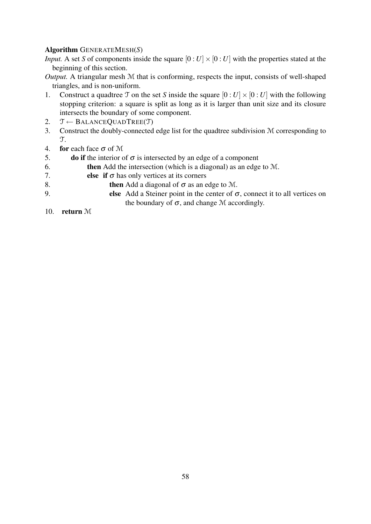#### Algorithm GENERATEMESH(*S*)

*Input.* A set *S* of components inside the square  $[0:U] \times [0:U]$  with the properties stated at the beginning of this section.

- *Output.* A triangular mesh M that is conforming, respects the input, consists of well-shaped triangles, and is non-uniform.
- 1. Construct a quadtree  $\mathcal T$  on the set *S* inside the square  $[0:U] \times [0:U]$  with the following stopping criterion: a square is split as long as it is larger than unit size and its closure intersects the boundary of some component.
- 2.  $\mathcal{T} \leftarrow \text{BALANCEQUADTREE}(\mathcal{T})$
- 3. Construct the doubly-connected edge list for the quadtree subdivision M corresponding to T.
- 4. for each face  $\sigma$  of M
- 5. **do if** the interior of  $\sigma$  is intersected by an edge of a component
- 6. then Add the intersection (which is a diagonal) as an edge to M.
- 7. **else if**  $\sigma$  has only vertices at its corners
- 8. then Add a diagonal of  $\sigma$  as an edge to M.
- 9. else Add a Steiner point in the center of  $\sigma$ , connect it to all vertices on the boundary of  $\sigma$ , and change M accordingly.
- 10. return M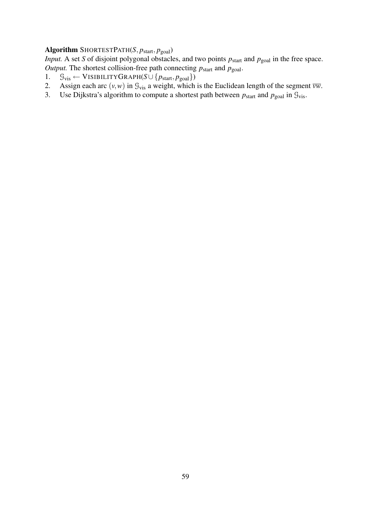# Algorithm SHORTESTPATH(*S*,  $p_{\text{start}}$ ,  $p_{\text{goal}}$ )

*Input.* A set *S* of disjoint polygonal obstacles, and two points  $p_{\text{start}}$  and  $p_{\text{goal}}$  in the free space. *Output.* The shortest collision-free path connecting  $p_{\text{start}}$  and  $p_{\text{goal}}$ .

- 1.  $\mathcal{G}_{\text{vis}} \leftarrow \text{VISHLITYGRAPH}(S \cup \{p_{\text{start}}, p_{\text{goal}}\})$
- 2. Assign each arc  $(v, w)$  in  $\mathcal{G}_{vis}$  a weight, which is the Euclidean length of the segment  $\overline{vw}$ .
- 3. Use Dijkstra's algorithm to compute a shortest path between  $p_{\text{start}}$  and  $p_{\text{goal}}$  in  $\mathcal{G}_{\text{vis}}$ .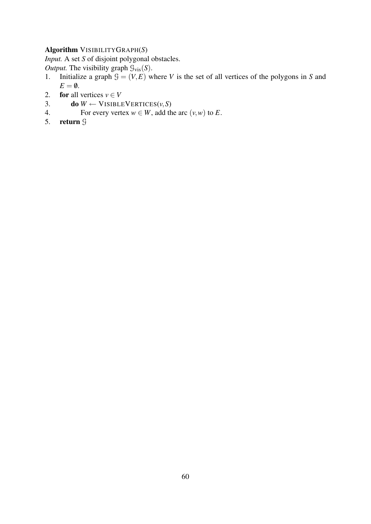# Algorithm VISIBILITYGRAPH(*S*)

*Input.* A set *S* of disjoint polygonal obstacles.

*Output.* The visibility graph  $\mathcal{G}_{\text{vis}}(S)$ .<br>1. Initialize a graph  $\mathcal{G} = (V, E)$  w

- Initialize a graph  $G = (V, E)$  where *V* is the set of all vertices of the polygons in *S* and  $E = \emptyset$ .
- 2. **for** all vertices  $v \in V$
- 3. **do**  $W \leftarrow \text{V}$ ISIBLEVERTICES $(v, S)$
- 4. For every vertex  $w \in W$ , add the arc  $(v, w)$  to *E*.
- 5. return G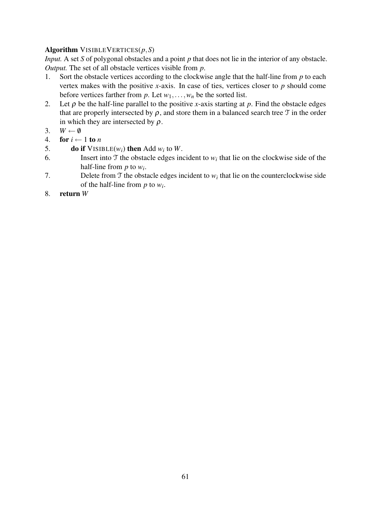# Algorithm VISIBLEVERTICES(*p*,*S*)

*Input.* A set *S* of polygonal obstacles and a point *p* that does not lie in the interior of any obstacle. *Output.* The set of all obstacle vertices visible from *p*.

- 1. Sort the obstacle vertices according to the clockwise angle that the half-line from *p* to each vertex makes with the positive *x*-axis. In case of ties, vertices closer to *p* should come before vertices farther from  $p$ . Let  $w_1, \ldots, w_n$  be the sorted list.
- 2. Let  $\rho$  be the half-line parallel to the positive *x*-axis starting at  $p$ . Find the obstacle edges that are properly intersected by  $\rho$ , and store them in a balanced search tree  $\mathcal T$  in the order in which they are intersected by  $\rho$ .
- 3.  $W \leftarrow \emptyset$
- 4. for  $i \leftarrow 1$  to *n*
- 5. **do if**  $VISIBLE(w_i)$  then Add  $w_i$  to  $W$ .
- 6. Insert into  $\mathcal T$  the obstacle edges incident to  $w_i$  that lie on the clockwise side of the half-line from *p* to *w<sup>i</sup>* .
- 7. Delete from  $\mathcal T$  the obstacle edges incident to  $w_i$  that lie on the counterclockwise side of the half-line from *p* to *w<sup>i</sup>* .
- 8. return *W*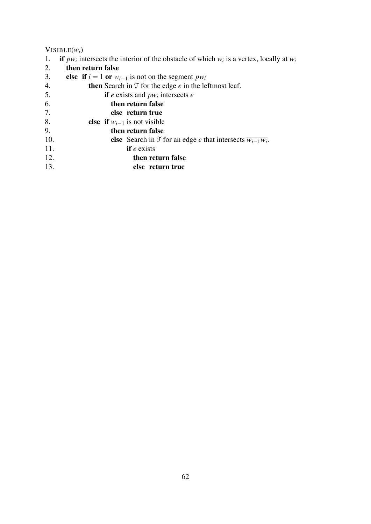# VISIBLE( $w_i$ )<br>1. **if**  $\overline{pw_i}$  in

- 1. if  $\overline{pw_i}$  intersects the interior of the obstacle of which  $w_i$  is a vertex, locally at  $w_i$
- 2. then return false
- 3. **else if**  $i = 1$  or  $w_{i-1}$  is not on the segment  $\overline{pw_i}$ <br>4. **then** Search in  $\mathcal T$  for the edge *e* in the le
- then Search in  $T$  for the edge  $e$  in the leftmost leaf.
- 5. **if** *e* exists and  $\overline{pw_i}$  intersects *e*
- 6. then return false
- 7. else return true
- 8. **else if**  $w_{i-1}$  is not visible 9. **then return false**
- then return false
- 10. **else** Search in T for an edge *e* that intersects  $\overline{w_{i-1}w_i}$ .
- 11. if *e* exists
- 12. then return false
- 13. else return true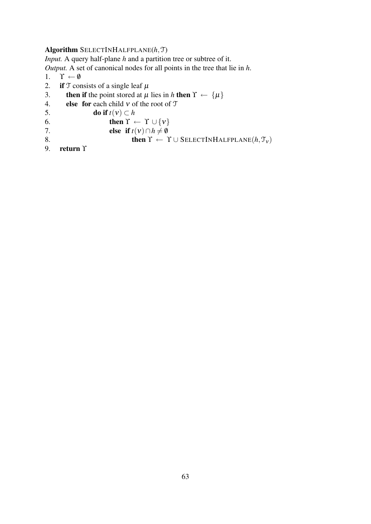#### Algorithm SELECTINHALFPLANE(*h*,T)

*Input.* A query half-plane *h* and a partition tree or subtree of it.

*Output.* A set of canonical nodes for all points in the tree that lie in *h*.

- 1.  $\Upsilon \leftarrow \emptyset$ <br>2. if  $\mathcal{T}$  cor
- 2. if  $T$  consists of a single leaf  $\mu$ <br>3. then if the point stored at  $\mu$
- **then if** the point stored at  $\mu$  lies in *h* then  $\Upsilon \leftarrow {\{\mu\}}$
- 4. **else for each child v** of the root of  $T$
- 5. **do if**  $t(v) \subset h$ <br>6. **then**  $\Upsilon \leftarrow$
- 6. then  $\Upsilon \leftarrow \Upsilon \cup \{v\}$ <br>7. else if  $t(v) \cap h \neq \emptyset$
- 7. **else if**  $t(v) \cap h \neq \emptyset$ <br>8. **then**  $\Upsilon \leftarrow 1$
- 8. **then**  $\Upsilon \leftarrow \Upsilon \cup \text{SELECTINHALFPLANE}(h, \mathcal{T}_v)$ <br>9. **return**  $\Upsilon$
- 9. return ϒ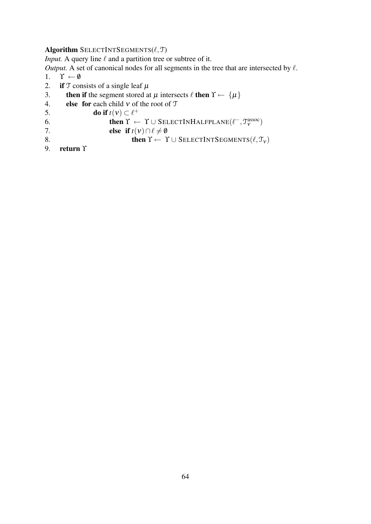#### Algorithm SELECTINTSEGMENTS $(\ell, \mathcal{T})$

*Input.* A query line  $\ell$  and a partition tree or subtree of it.

*Output.* A set of canonical nodes for all segments in the tree that are intersected by  $\ell$ .

- 1.  $\Upsilon \leftarrow \emptyset$ <br>2. if  $\mathcal{T}$  cor
- 2. if  $T$  consists of a single leaf  $\mu$ <br>3. then if the segment stored at
- **then if** the segment stored at  $\mu$  intersects  $\ell$  then  $\Upsilon \leftarrow {\{\mu\}}$
- 4. **else for each child v** of the root of  $T$
- 5. **do if**  $t(v) \subset \ell^+$
- 6. then  $\Upsilon \leftarrow \Upsilon \cup \text{SELECTINHALFPLANE}(\ell^-, \mathcal{T}_{\mathcal{V}}^{\text{assoc}})$
- 7. **else if**  $t(v) \cap \ell \neq \emptyset$
- 8. **then**  $\Upsilon \leftarrow \Upsilon \cup \text{SELECTINTSEGMENTS}(\ell, \mathcal{T}_v)$ <br>9. **return**  $\Upsilon$
- return Υ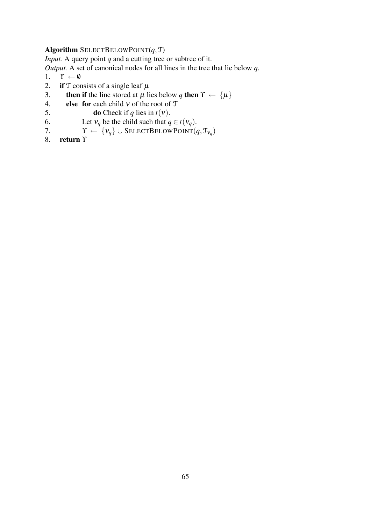#### Algorithm SELECTBELOWPOINT $(q, T)$

*Input.* A query point *q* and a cutting tree or subtree of it.

*Output.* A set of canonical nodes for all lines in the tree that lie below *q*.

- 1.  $\Upsilon \leftarrow \emptyset$ <br>2. if  $\mathcal{T}$  cor
- 2. if  $T$  consists of a single leaf  $\mu$ <br>3. then if the line stored at  $\mu$  li
- **then if** the line stored at  $\mu$  lies below *q* then  $\Upsilon \leftarrow {\{\mu\}}$
- 4. **else for each child v** of the root of  $T$
- 5. **do** Check if *q* lies in *t*(*v*).<br>6. Let  $v_a$  be the child such that *q*
- 6. Let  $v_q$  be the child such that  $q \in t(v_q)$ .<br>
7.  $\Upsilon \leftarrow \{v_q\} \cup \text{SELECTBELOW POINT}(q)$
- 7.  $\Upsilon \leftarrow {\{v_q\}} \cup \text{SELECTBELOWP}$ OINT $(q, \mathcal{T}_{v_q})$
- 8. return  $\Upsilon$